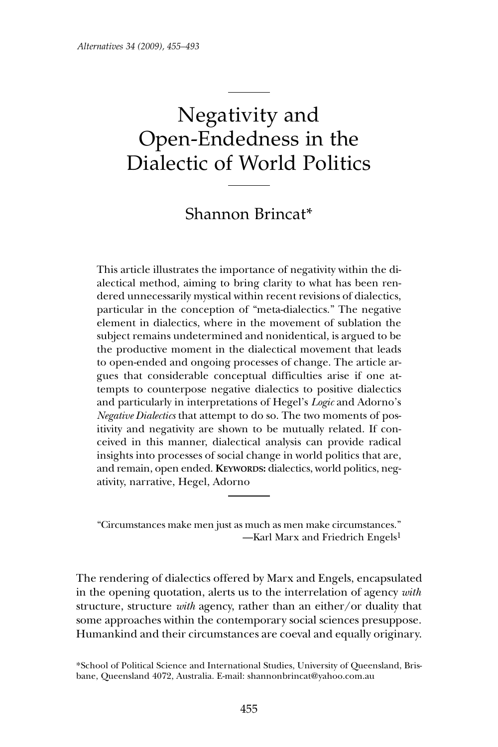# Negativity and Open-Endedness in the Dialectic of World Politics

## Shannon Brincat\*

This article illustrates the importance of negativity within the dialectical method, aiming to bring clarity to what has been rendered unnecessarily mystical within recent revisions of dialectics, particular in the conception of "meta-dialectics." The negative element in dialectics, where in the movement of sublation the subject remains undetermined and nonidentical, is argued to be the productive moment in the dialectical movement that leads to open-ended and ongoing processes of change. The article argues that considerable conceptual difficulties arise if one attempts to counterpose negative dialectics to positive dialectics and particularly in interpretations of Hegel's *Logic* and Adorno's *Negative Dialectics* that attempt to do so. The two moments of positivity and negativity are shown to be mutually related. If conceived in this manner, dialectical analysis can provide radical insights into processes of social change in world politics that are, and remain, open ended. **KEYWORDS:** dialectics, world politics, negativity, narrative, Hegel, Adorno

"Circumstances make men just as much as men make circumstances." —Karl Marx and Friedrich Engels<sup>1</sup>

The rendering of dialectics offered by Marx and Engels, encapsulated in the opening quotation, alerts us to the interrelation of agency *with* structure, structure *with* agency, rather than an either/or duality that some approaches within the contemporary social sciences presuppose. Humankind and their circumstances are coeval and equally originary.

\*School of Political Science and International Studies, University of Queensland, Brisbane, Queensland 4072, Australia. E-mail: shannonbrincat@yahoo.com.au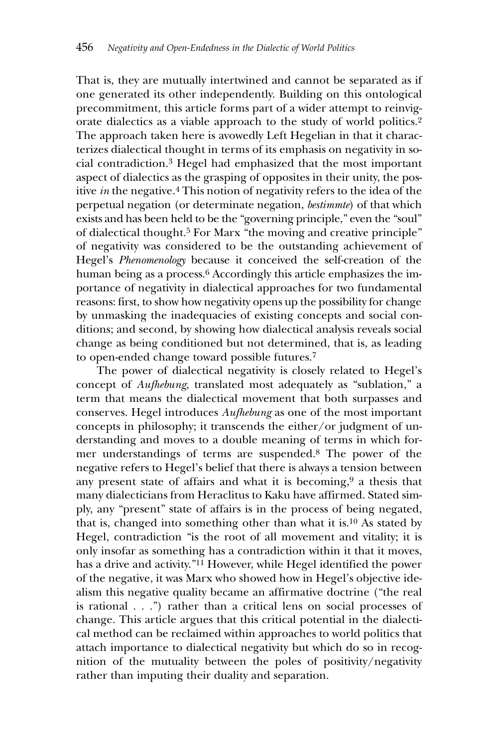That is, they are mutually intertwined and cannot be separated as if one generated its other independently. Building on this ontological precommitment, this article forms part of a wider attempt to reinvigorate dialectics as a viable approach to the study of world politics.2 The approach taken here is avowedly Left Hegelian in that it characterizes dialectical thought in terms of its emphasis on negativity in social contradiction.3 Hegel had emphasized that the most important aspect of dialectics as the grasping of opposites in their unity, the positive *in* the negative.4 This notion of negativity refers to the idea of the perpetual negation (or determinate negation, *bestimmte*) of that which exists and has been held to be the "governing principle," even the "soul" of dialectical thought.5 For Marx "the moving and creative principle" of negativity was considered to be the outstanding achievement of Hegel's *Phenomenology* because it conceived the self-creation of the human being as a process.<sup>6</sup> Accordingly this article emphasizes the importance of negativity in dialectical approaches for two fundamental reasons: first, to show how negativity opens up the possibility for change by unmasking the inadequacies of existing concepts and social conditions; and second, by showing how dialectical analysis reveals social change as being conditioned but not determined, that is, as leading to open-ended change toward possible futures.7

The power of dialectical negativity is closely related to Hegel's concept of *Aufhebung*, translated most adequately as "sublation," a term that means the dialectical movement that both surpasses and conserves. Hegel introduces *Aufhebung* as one of the most important concepts in philosophy; it transcends the either/or judgment of understanding and moves to a double meaning of terms in which former understandings of terms are suspended.8 The power of the negative refers to Hegel's belief that there is always a tension between any present state of affairs and what it is becoming, $9$  a thesis that many dialecticians from Heraclitus to Kaku have affirmed. Stated simply, any "present" state of affairs is in the process of being negated, that is, changed into something other than what it is.10 As stated by Hegel, contradiction "is the root of all movement and vitality; it is only insofar as something has a contradiction within it that it moves, has a drive and activity."11 However, while Hegel identified the power of the negative, it was Marx who showed how in Hegel's objective idealism this negative quality became an affirmative doctrine ("the real is rational . . .") rather than a critical lens on social processes of change. This article argues that this critical potential in the dialectical method can be reclaimed within approaches to world politics that attach importance to dialectical negativity but which do so in recognition of the mutuality between the poles of positivity/negativity rather than imputing their duality and separation.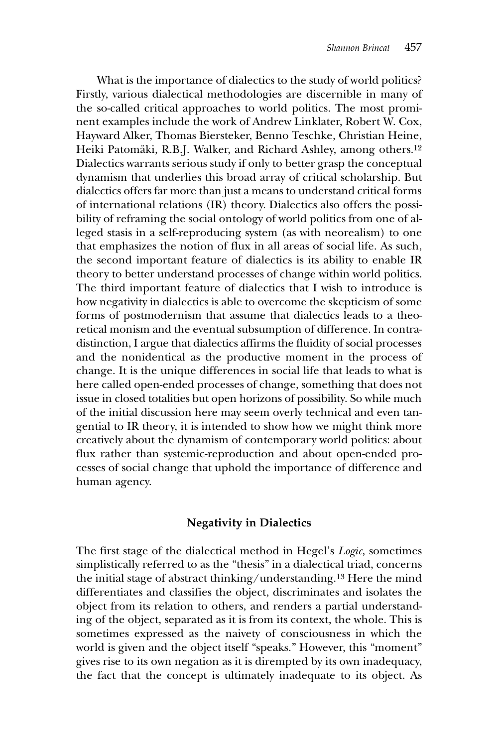What is the importance of dialectics to the study of world politics? Firstly, various dialectical methodologies are discernible in many of the so-called critical approaches to world politics. The most prominent examples include the work of Andrew Linklater, Robert W. Cox, Hayward Alker, Thomas Biersteker, Benno Teschke, Christian Heine, Heiki Patomäki, R.B.J. Walker, and Richard Ashley, among others.12 Dialectics warrants serious study if only to better grasp the conceptual dynamism that underlies this broad array of critical scholarship. But dialectics offers far more than just a means to understand critical forms of international relations (IR) theory. Dialectics also offers the possibility of reframing the social ontology of world politics from one of alleged stasis in a self-reproducing system (as with neorealism) to one that emphasizes the notion of flux in all areas of social life. As such, the second important feature of dialectics is its ability to enable IR theory to better understand processes of change within world politics. The third important feature of dialectics that I wish to introduce is how negativity in dialectics is able to overcome the skepticism of some forms of postmodernism that assume that dialectics leads to a theoretical monism and the eventual subsumption of difference. In contradistinction, I argue that dialectics affirms the fluidity of social processes and the nonidentical as the productive moment in the process of change. It is the unique differences in social life that leads to what is here called open-ended processes of change, something that does not issue in closed totalities but open horizons of possibility. So while much of the initial discussion here may seem overly technical and even tangential to IR theory, it is intended to show how we might think more creatively about the dynamism of contemporary world politics: about flux rather than systemic-reproduction and about open-ended processes of social change that uphold the importance of difference and human agency.

### **Negativity in Dialectics**

The first stage of the dialectical method in Hegel's *Logic,* sometimes simplistically referred to as the "thesis" in a dialectical triad, concerns the initial stage of abstract thinking/understanding.13 Here the mind differentiates and classifies the object, discriminates and isolates the object from its relation to others, and renders a partial understanding of the object, separated as it is from its context, the whole. This is sometimes expressed as the naivety of consciousness in which the world is given and the object itself "speaks." However, this "moment" gives rise to its own negation as it is dirempted by its own inadequacy, the fact that the concept is ultimately inadequate to its object. As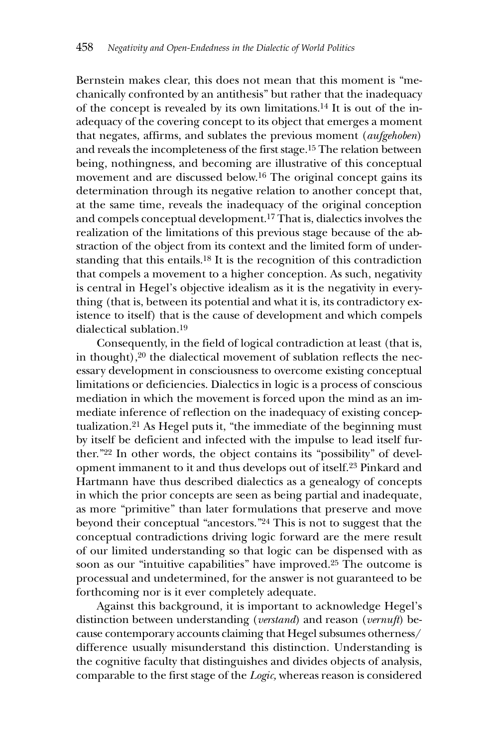Bernstein makes clear, this does not mean that this moment is "mechanically confronted by an antithesis" but rather that the inadequacy of the concept is revealed by its own limitations.14 It is out of the inadequacy of the covering concept to its object that emerges a moment that negates, affirms, and sublates the previous moment (*aufgehoben*) and reveals the incompleteness of the first stage.15 The relation between being, nothingness, and becoming are illustrative of this conceptual movement and are discussed below.16 The original concept gains its determination through its negative relation to another concept that, at the same time, reveals the inadequacy of the original conception and compels conceptual development.17 That is, dialectics involves the realization of the limitations of this previous stage because of the abstraction of the object from its context and the limited form of understanding that this entails.18 It is the recognition of this contradiction that compels a movement to a higher conception. As such, negativity is central in Hegel's objective idealism as it is the negativity in everything (that is, between its potential and what it is, its contradictory existence to itself) that is the cause of development and which compels dialectical sublation.19

Consequently, in the field of logical contradiction at least (that is, in thought),20 the dialectical movement of sublation reflects the necessary development in consciousness to overcome existing conceptual limitations or deficiencies. Dialectics in logic is a process of conscious mediation in which the movement is forced upon the mind as an immediate inference of reflection on the inadequacy of existing conceptualization.21 As Hegel puts it, "the immediate of the beginning must by itself be deficient and infected with the impulse to lead itself further."22 In other words, the object contains its "possibility" of development immanent to it and thus develops out of itself.23 Pinkard and Hartmann have thus described dialectics as a genealogy of concepts in which the prior concepts are seen as being partial and inadequate, as more "primitive" than later formulations that preserve and move beyond their conceptual "ancestors."24 This is not to suggest that the conceptual contradictions driving logic forward are the mere result of our limited understanding so that logic can be dispensed with as soon as our "intuitive capabilities" have improved.25 The outcome is processual and undetermined, for the answer is not guaranteed to be forthcoming nor is it ever completely adequate.

Against this background, it is important to acknowledge Hegel's distinction between understanding (*verstand*) and reason (*vernuft*) because contemporary accounts claiming that Hegel subsumes otherness/ difference usually misunderstand this distinction. Understanding is the cognitive faculty that distinguishes and divides objects of analysis, comparable to the first stage of the *Logic,* whereas reason is considered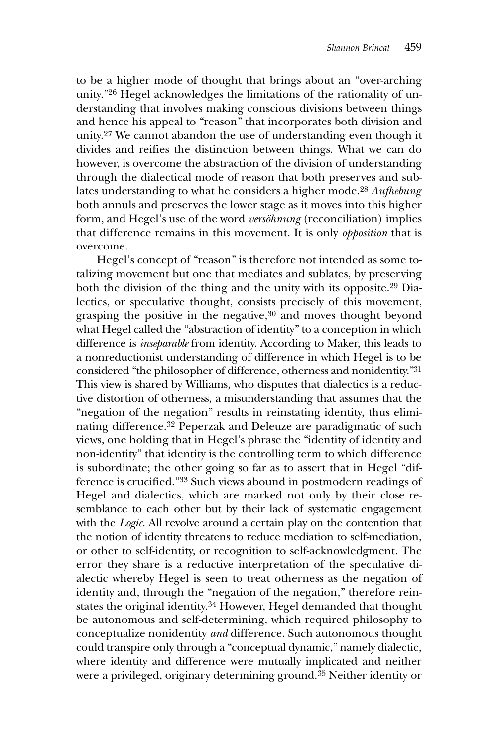to be a higher mode of thought that brings about an "over-arching unity."26 Hegel acknowledges the limitations of the rationality of understanding that involves making conscious divisions between things and hence his appeal to "reason" that incorporates both division and unity.27 We cannot abandon the use of understanding even though it divides and reifies the distinction between things. What we can do however, is overcome the abstraction of the division of understanding through the dialectical mode of reason that both preserves and sublates understanding to what he considers a higher mode.28 *Aufhebung* both annuls and preserves the lower stage as it moves into this higher form, and Hegel's use of the word *versöhnung* (reconciliation) implies that difference remains in this movement. It is only *opposition* that is overcome.

Hegel's concept of "reason" is therefore not intended as some totalizing movement but one that mediates and sublates, by preserving both the division of the thing and the unity with its opposite.29 Dialectics, or speculative thought, consists precisely of this movement, grasping the positive in the negative,30 and moves thought beyond what Hegel called the "abstraction of identity" to a conception in which difference is *inseparable* from identity. According to Maker, this leads to a nonreductionist understanding of difference in which Hegel is to be considered "the philosopher of difference, otherness and nonidentity."31 This view is shared by Williams, who disputes that dialectics is a reductive distortion of otherness, a misunderstanding that assumes that the "negation of the negation" results in reinstating identity, thus eliminating difference.32 Peperzak and Deleuze are paradigmatic of such views, one holding that in Hegel's phrase the "identity of identity and non-identity" that identity is the controlling term to which difference is subordinate; the other going so far as to assert that in Hegel "difference is crucified."33 Such views abound in postmodern readings of Hegel and dialectics, which are marked not only by their close resemblance to each other but by their lack of systematic engagement with the *Logic.* All revolve around a certain play on the contention that the notion of identity threatens to reduce mediation to self-mediation, or other to self-identity, or recognition to self-acknowledgment. The error they share is a reductive interpretation of the speculative dialectic whereby Hegel is seen to treat otherness as the negation of identity and, through the "negation of the negation," therefore reinstates the original identity.<sup>34</sup> However, Hegel demanded that thought be autonomous and self-determining, which required philosophy to conceptualize nonidentity *and* difference. Such autonomous thought could transpire only through a "conceptual dynamic," namely dialectic, where identity and difference were mutually implicated and neither were a privileged, originary determining ground.35 Neither identity or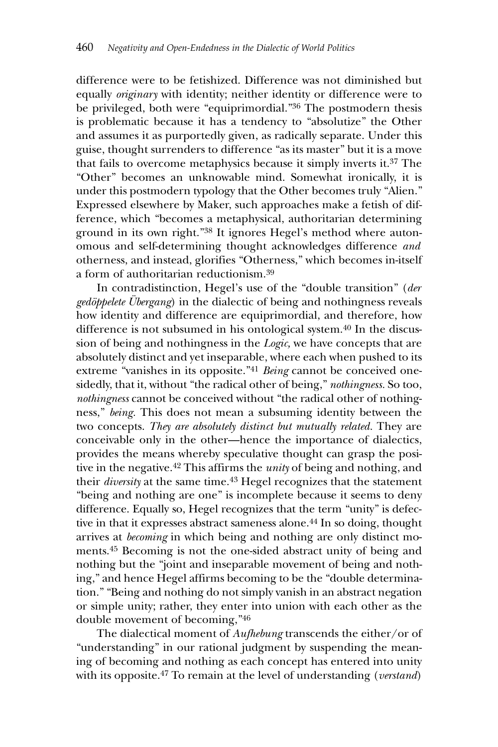difference were to be fetishized. Difference was not diminished but equally *originary* with identity; neither identity or difference were to be privileged, both were "equiprimordial."36 The postmodern thesis is problematic because it has a tendency to "absolutize" the Other and assumes it as purportedly given, as radically separate. Under this guise, thought surrenders to difference "as its master" but it is a move that fails to overcome metaphysics because it simply inverts it.37 The "Other" becomes an unknowable mind. Somewhat ironically, it is under this postmodern typology that the Other becomes truly "Alien." Expressed elsewhere by Maker, such approaches make a fetish of difference, which "becomes a metaphysical, authoritarian determining ground in its own right."38 It ignores Hegel's method where autonomous and self-determining thought acknowledges difference *and* otherness, and instead, glorifies "Otherness," which becomes in-itself a form of authoritarian reductionism.39

In contradistinction, Hegel's use of the "double transition" (*der gedöppelete Übergang*) in the dialectic of being and nothingness reveals how identity and difference are equiprimordial, and therefore, how difference is not subsumed in his ontological system.<sup>40</sup> In the discussion of being and nothingness in the *Logic,* we have concepts that are absolutely distinct and yet inseparable, where each when pushed to its extreme "vanishes in its opposite."41 *Being* cannot be conceived onesidedly, that it, without "the radical other of being," *nothingness.* So too, *nothingness* cannot be conceived without "the radical other of nothingness," *being.* This does not mean a subsuming identity between the two concepts. *They are absolutely distinct but mutually related.* They are conceivable only in the other—hence the importance of dialectics, provides the means whereby speculative thought can grasp the positive in the negative.42 This affirms the *unity* of being and nothing, and their *diversity* at the same time.<sup>43</sup> Hegel recognizes that the statement "being and nothing are one" is incomplete because it seems to deny difference. Equally so, Hegel recognizes that the term "unity" is defective in that it expresses abstract sameness alone.<sup>44</sup> In so doing, thought arrives at *becoming* in which being and nothing are only distinct moments.45 Becoming is not the one-sided abstract unity of being and nothing but the "joint and inseparable movement of being and nothing," and hence Hegel affirms becoming to be the "double determination." "Being and nothing do not simply vanish in an abstract negation or simple unity; rather, they enter into union with each other as the double movement of becoming,"46

The dialectical moment of *Aufhebung* transcends the either/or of "understanding" in our rational judgment by suspending the meaning of becoming and nothing as each concept has entered into unity with its opposite.47 To remain at the level of understanding (*verstand*)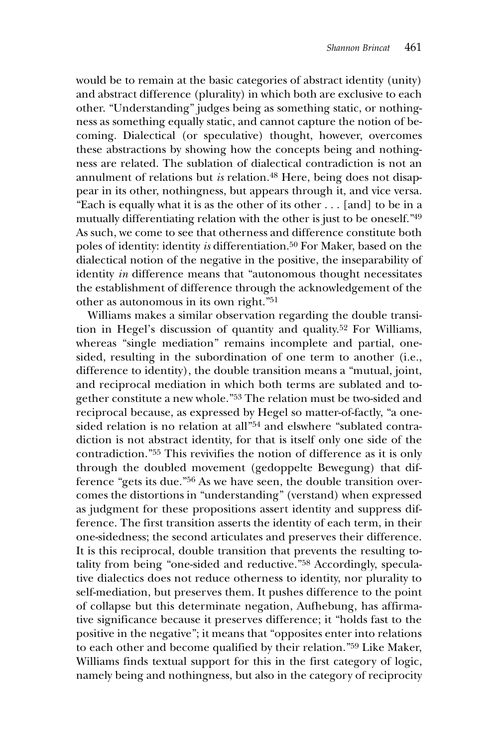would be to remain at the basic categories of abstract identity (unity) and abstract difference (plurality) in which both are exclusive to each other. "Understanding" judges being as something static, or nothingness as something equally static, and cannot capture the notion of becoming. Dialectical (or speculative) thought, however, overcomes these abstractions by showing how the concepts being and nothingness are related. The sublation of dialectical contradiction is not an annulment of relations but *is* relation.<sup>48</sup> Here, being does not disappear in its other, nothingness, but appears through it, and vice versa. "Each is equally what it is as the other of its other . . . [and] to be in a mutually differentiating relation with the other is just to be oneself."49 As such, we come to see that otherness and difference constitute both poles of identity: identity *is* differentiation.50 For Maker, based on the dialectical notion of the negative in the positive, the inseparability of identity *in* difference means that "autonomous thought necessitates the establishment of difference through the acknowledgement of the other as autonomous in its own right."51

Williams makes a similar observation regarding the double transition in Hegel's discussion of quantity and quality.52 For Williams, whereas "single mediation" remains incomplete and partial, onesided, resulting in the subordination of one term to another (i.e., difference to identity), the double transition means a "mutual, joint, and reciprocal mediation in which both terms are sublated and together constitute a new whole."53 The relation must be two-sided and reciprocal because, as expressed by Hegel so matter-of-factly, "a onesided relation is no relation at all"54 and elswhere "sublated contradiction is not abstract identity, for that is itself only one side of the contradiction."55 This revivifies the notion of difference as it is only through the doubled movement (gedoppelte Bewegung) that difference "gets its due."56 As we have seen, the double transition overcomes the distortions in "understanding" (verstand) when expressed as judgment for these propositions assert identity and suppress difference. The first transition asserts the identity of each term, in their one-sidedness; the second articulates and preserves their difference. It is this reciprocal, double transition that prevents the resulting totality from being "one-sided and reductive."58 Accordingly, speculative dialectics does not reduce otherness to identity, nor plurality to self-mediation, but preserves them. It pushes difference to the point of collapse but this determinate negation, Aufhebung, has affirmative significance because it preserves difference; it "holds fast to the positive in the negative"; it means that "opposites enter into relations to each other and become qualified by their relation."59 Like Maker, Williams finds textual support for this in the first category of logic, namely being and nothingness, but also in the category of reciprocity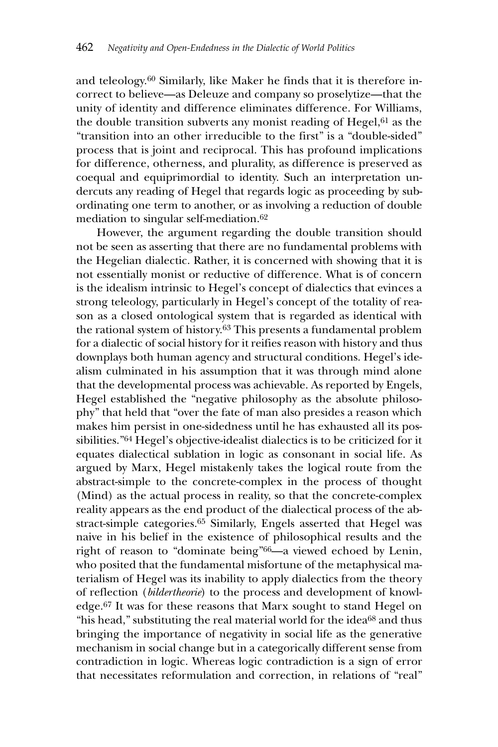and teleology.60 Similarly, like Maker he finds that it is therefore incorrect to believe—as Deleuze and company so proselytize—that the unity of identity and difference eliminates difference. For Williams, the double transition subverts any monist reading of Hegel, <sup>61</sup> as the "transition into an other irreducible to the first" is a "double-sided" process that is joint and reciprocal. This has profound implications for difference, otherness, and plurality, as difference is preserved as coequal and equiprimordial to identity. Such an interpretation undercuts any reading of Hegel that regards logic as proceeding by subordinating one term to another, or as involving a reduction of double mediation to singular self-mediation.62

However, the argument regarding the double transition should not be seen as asserting that there are no fundamental problems with the Hegelian dialectic. Rather, it is concerned with showing that it is not essentially monist or reductive of difference. What is of concern is the idealism intrinsic to Hegel's concept of dialectics that evinces a strong teleology, particularly in Hegel's concept of the totality of reason as a closed ontological system that is regarded as identical with the rational system of history.63 This presents a fundamental problem for a dialectic of social history for it reifies reason with history and thus downplays both human agency and structural conditions. Hegel's idealism culminated in his assumption that it was through mind alone that the developmental process was achievable. As reported by Engels, Hegel established the "negative philosophy as the absolute philosophy" that held that "over the fate of man also presides a reason which makes him persist in one-sidedness until he has exhausted all its possibilities."64 Hegel's objective-idealist dialectics is to be criticized for it equates dialectical sublation in logic as consonant in social life. As argued by Marx, Hegel mistakenly takes the logical route from the abstract-simple to the concrete-complex in the process of thought (Mind) as the actual process in reality, so that the concrete-complex reality appears as the end product of the dialectical process of the abstract-simple categories.65 Similarly, Engels asserted that Hegel was naive in his belief in the existence of philosophical results and the right of reason to "dominate being"66—a viewed echoed by Lenin, who posited that the fundamental misfortune of the metaphysical materialism of Hegel was its inability to apply dialectics from the theory of reflection (*bildertheorie*) to the process and development of knowledge.67 It was for these reasons that Marx sought to stand Hegel on "his head," substituting the real material world for the idea68 and thus bringing the importance of negativity in social life as the generative mechanism in social change but in a categorically different sense from contradiction in logic. Whereas logic contradiction is a sign of error that necessitates reformulation and correction, in relations of "real"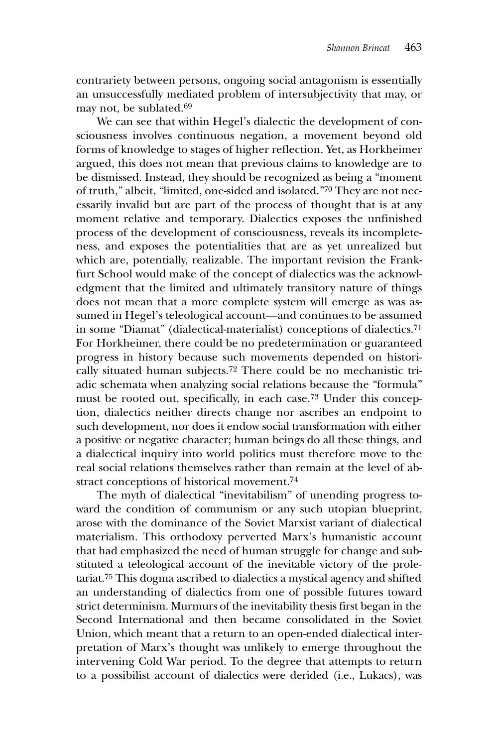contrariety between persons, ongoing social antagonism is essentially an unsuccessfully mediated problem of intersubjectivity that may, or may not, be sublated.69

We can see that within Hegel's dialectic the development of consciousness involves continuous negation, a movement beyond old forms of knowledge to stages of higher reflection. Yet, as Horkheimer argued, this does not mean that previous claims to knowledge are to be dismissed. Instead, they should be recognized as being a "moment of truth," albeit, "limited, one-sided and isolated."70 They are not necessarily invalid but are part of the process of thought that is at any moment relative and temporary. Dialectics exposes the unfinished process of the development of consciousness, reveals its incompleteness, and exposes the potentialities that are as yet unrealized but which are, potentially, realizable. The important revision the Frankfurt School would make of the concept of dialectics was the acknowledgment that the limited and ultimately transitory nature of things does not mean that a more complete system will emerge as was assumed in Hegel's teleological account—and continues to be assumed in some "Diamat" (dialectical-materialist) conceptions of dialectics.71 For Horkheimer, there could be no predetermination or guaranteed progress in history because such movements depended on historically situated human subjects.72 There could be no mechanistic triadic schemata when analyzing social relations because the "formula" must be rooted out, specifically, in each case.73 Under this conception, dialectics neither directs change nor ascribes an endpoint to such development, nor does it endow social transformation with either a positive or negative character; human beings do all these things, and a dialectical inquiry into world politics must therefore move to the real social relations themselves rather than remain at the level of abstract conceptions of historical movement.74

The myth of dialectical "inevitabilism" of unending progress toward the condition of communism or any such utopian blueprint, arose with the dominance of the Soviet Marxist variant of dialectical materialism. This orthodoxy perverted Marx's humanistic account that had emphasized the need of human struggle for change and substituted a teleological account of the inevitable victory of the proletariat.75 This dogma ascribed to dialectics a mystical agency and shifted an understanding of dialectics from one of possible futures toward strict determinism. Murmurs of the inevitability thesis first began in the Second International and then became consolidated in the Soviet Union, which meant that a return to an open-ended dialectical interpretation of Marx's thought was unlikely to emerge throughout the intervening Cold War period. To the degree that attempts to return to a possibilist account of dialectics were derided (i.e., Lukacs), was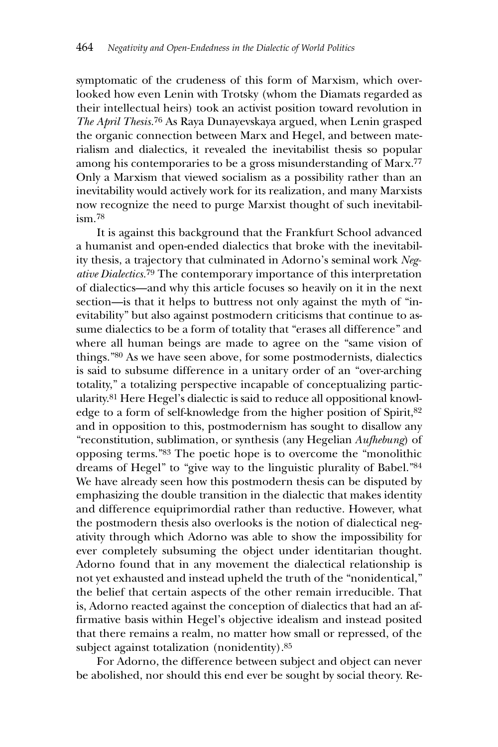symptomatic of the crudeness of this form of Marxism, which overlooked how even Lenin with Trotsky (whom the Diamats regarded as their intellectual heirs) took an activist position toward revolution in *The April Thesis.*76 As Raya Dunayevskaya argued, when Lenin grasped the organic connection between Marx and Hegel, and between materialism and dialectics, it revealed the inevitabilist thesis so popular among his contemporaries to be a gross misunderstanding of Marx.77 Only a Marxism that viewed socialism as a possibility rather than an inevitability would actively work for its realization, and many Marxists now recognize the need to purge Marxist thought of such inevitabilism.78

It is against this background that the Frankfurt School advanced a humanist and open-ended dialectics that broke with the inevitability thesis, a trajectory that culminated in Adorno's seminal work *Negative Dialectics.*<sup>79</sup> The contemporary importance of this interpretation of dialectics—and why this article focuses so heavily on it in the next section—is that it helps to buttress not only against the myth of "inevitability" but also against postmodern criticisms that continue to assume dialectics to be a form of totality that "erases all difference" and where all human beings are made to agree on the "same vision of things."80 As we have seen above, for some postmodernists, dialectics is said to subsume difference in a unitary order of an "over-arching totality," a totalizing perspective incapable of conceptualizing particularity.81 Here Hegel's dialectic is said to reduce all oppositional knowledge to a form of self-knowledge from the higher position of Spirit, 82 and in opposition to this, postmodernism has sought to disallow any "reconstitution, sublimation, or synthesis (any Hegelian *Aufhebung*) of opposing terms."83 The poetic hope is to overcome the "monolithic dreams of Hegel" to "give way to the linguistic plurality of Babel."84 We have already seen how this postmodern thesis can be disputed by emphasizing the double transition in the dialectic that makes identity and difference equiprimordial rather than reductive. However, what the postmodern thesis also overlooks is the notion of dialectical negativity through which Adorno was able to show the impossibility for ever completely subsuming the object under identitarian thought. Adorno found that in any movement the dialectical relationship is not yet exhausted and instead upheld the truth of the "nonidentical," the belief that certain aspects of the other remain irreducible. That is, Adorno reacted against the conception of dialectics that had an affirmative basis within Hegel's objective idealism and instead posited that there remains a realm, no matter how small or repressed, of the subject against totalization (nonidentity).85

For Adorno, the difference between subject and object can never be abolished, nor should this end ever be sought by social theory. Re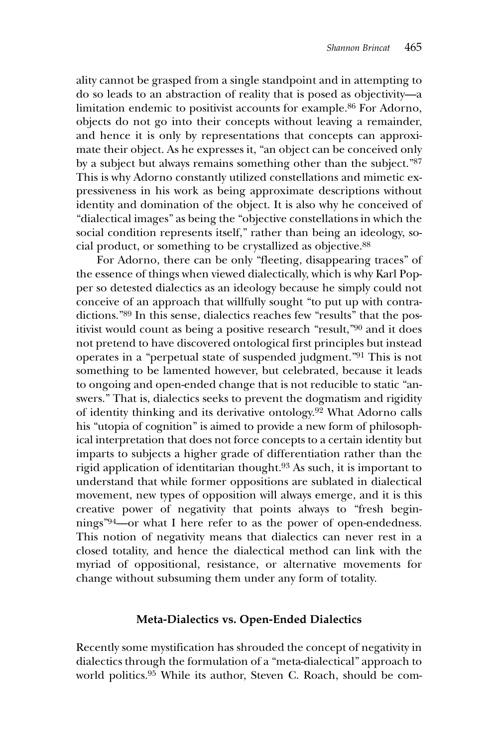ality cannot be grasped from a single standpoint and in attempting to do so leads to an abstraction of reality that is posed as objectivity—a limitation endemic to positivist accounts for example.86 For Adorno, objects do not go into their concepts without leaving a remainder, and hence it is only by representations that concepts can approximate their object. As he expresses it, "an object can be conceived only by a subject but always remains something other than the subject."87 This is why Adorno constantly utilized constellations and mimetic expressiveness in his work as being approximate descriptions without identity and domination of the object. It is also why he conceived of "dialectical images" as being the "objective constellations in which the social condition represents itself," rather than being an ideology, social product, or something to be crystallized as objective.88

For Adorno, there can be only "fleeting, disappearing traces" of the essence of things when viewed dialectically, which is why Karl Popper so detested dialectics as an ideology because he simply could not conceive of an approach that willfully sought "to put up with contradictions."89 In this sense, dialectics reaches few "results" that the positivist would count as being a positive research "result,"90 and it does not pretend to have discovered ontological first principles but instead operates in a "perpetual state of suspended judgment."91 This is not something to be lamented however, but celebrated, because it leads to ongoing and open-ended change that is not reducible to static "answers." That is, dialectics seeks to prevent the dogmatism and rigidity of identity thinking and its derivative ontology.92 What Adorno calls his "utopia of cognition" is aimed to provide a new form of philosophical interpretation that does not force concepts to a certain identity but imparts to subjects a higher grade of differentiation rather than the rigid application of identitarian thought.93 As such, it is important to understand that while former oppositions are sublated in dialectical movement, new types of opposition will always emerge, and it is this creative power of negativity that points always to "fresh beginnings"94—or what I here refer to as the power of open-endedness. This notion of negativity means that dialectics can never rest in a closed totality, and hence the dialectical method can link with the myriad of oppositional, resistance, or alternative movements for change without subsuming them under any form of totality.

### **Meta-Dialectics vs. Open-Ended Dialectics**

Recently some mystification has shrouded the concept of negativity in dialectics through the formulation of a "meta-dialectical" approach to world politics.<sup>95</sup> While its author, Steven C. Roach, should be com-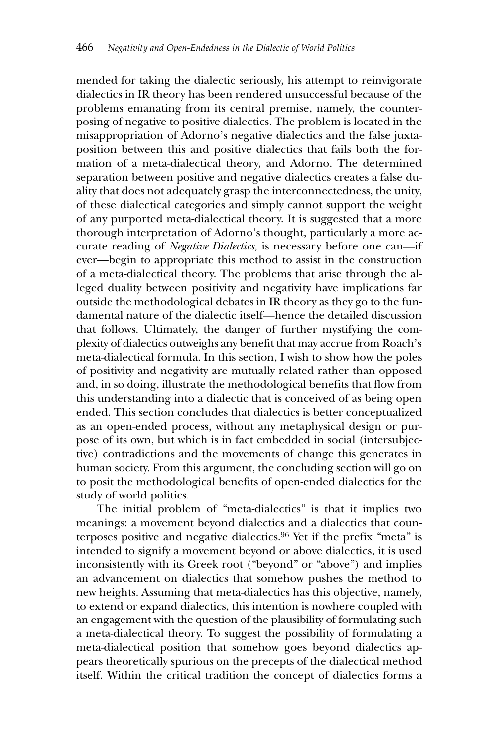mended for taking the dialectic seriously, his attempt to reinvigorate dialectics in IR theory has been rendered unsuccessful because of the problems emanating from its central premise, namely, the counterposing of negative to positive dialectics. The problem is located in the misappropriation of Adorno's negative dialectics and the false juxtaposition between this and positive dialectics that fails both the formation of a meta-dialectical theory, and Adorno. The determined separation between positive and negative dialectics creates a false duality that does not adequately grasp the interconnectedness, the unity, of these dialectical categories and simply cannot support the weight of any purported meta-dialectical theory. It is suggested that a more thorough interpretation of Adorno's thought, particularly a more accurate reading of *Negative Dialectics,* is necessary before one can—if ever—begin to appropriate this method to assist in the construction of a meta-dialectical theory. The problems that arise through the alleged duality between positivity and negativity have implications far outside the methodological debates in IR theory as they go to the fundamental nature of the dialectic itself—hence the detailed discussion that follows. Ultimately, the danger of further mystifying the complexity of dialectics outweighs any benefit that may accrue from Roach's meta-dialectical formula. In this section, I wish to show how the poles of positivity and negativity are mutually related rather than opposed and, in so doing, illustrate the methodological benefits that flow from this understanding into a dialectic that is conceived of as being open ended. This section concludes that dialectics is better conceptualized as an open-ended process, without any metaphysical design or purpose of its own, but which is in fact embedded in social (intersubjective) contradictions and the movements of change this generates in human society. From this argument, the concluding section will go on to posit the methodological benefits of open-ended dialectics for the study of world politics.

The initial problem of "meta-dialectics" is that it implies two meanings: a movement beyond dialectics and a dialectics that counterposes positive and negative dialectics.96 Yet if the prefix "meta" is intended to signify a movement beyond or above dialectics, it is used inconsistently with its Greek root ("beyond" or "above") and implies an advancement on dialectics that somehow pushes the method to new heights. Assuming that meta-dialectics has this objective, namely, to extend or expand dialectics, this intention is nowhere coupled with an engagement with the question of the plausibility of formulating such a meta-dialectical theory. To suggest the possibility of formulating a meta-dialectical position that somehow goes beyond dialectics appears theoretically spurious on the precepts of the dialectical method itself. Within the critical tradition the concept of dialectics forms a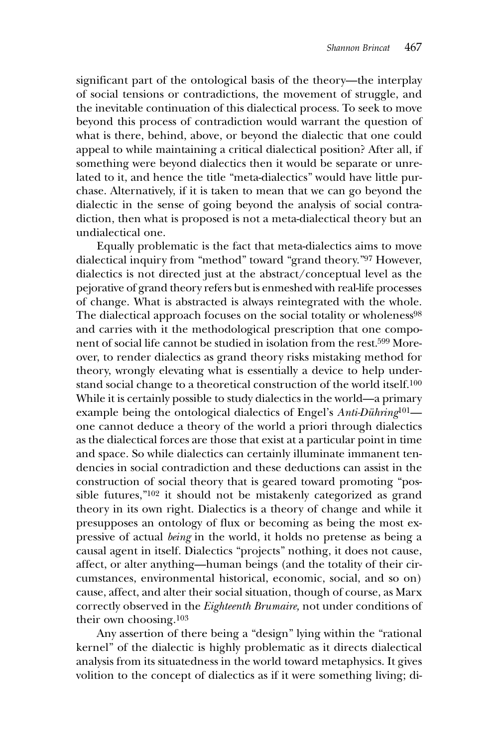significant part of the ontological basis of the theory—the interplay of social tensions or contradictions, the movement of struggle, and the inevitable continuation of this dialectical process. To seek to move beyond this process of contradiction would warrant the question of what is there, behind, above, or beyond the dialectic that one could appeal to while maintaining a critical dialectical position? After all, if something were beyond dialectics then it would be separate or unrelated to it, and hence the title "meta-dialectics" would have little purchase. Alternatively, if it is taken to mean that we can go beyond the dialectic in the sense of going beyond the analysis of social contradiction, then what is proposed is not a meta-dialectical theory but an undialectical one.

Equally problematic is the fact that meta-dialectics aims to move dialectical inquiry from "method" toward "grand theory."97 However, dialectics is not directed just at the abstract/conceptual level as the pejorative of grand theory refers but is enmeshed with real-life processes of change. What is abstracted is always reintegrated with the whole. The dialectical approach focuses on the social totality or wholeness<sup>98</sup> and carries with it the methodological prescription that one component of social life cannot be studied in isolation from the rest.599 Moreover, to render dialectics as grand theory risks mistaking method for theory, wrongly elevating what is essentially a device to help understand social change to a theoretical construction of the world itself.100 While it is certainly possible to study dialectics in the world—a primary example being the ontological dialectics of Engel's *Anti-Dühring*101 one cannot deduce a theory of the world a priori through dialectics as the dialectical forces are those that exist at a particular point in time and space. So while dialectics can certainly illuminate immanent tendencies in social contradiction and these deductions can assist in the construction of social theory that is geared toward promoting "possible futures,"102 it should not be mistakenly categorized as grand theory in its own right. Dialectics is a theory of change and while it presupposes an ontology of flux or becoming as being the most expressive of actual *being* in the world, it holds no pretense as being a causal agent in itself. Dialectics "projects" nothing, it does not cause, affect, or alter anything—human beings (and the totality of their circumstances, environmental historical, economic, social, and so on) cause, affect, and alter their social situation, though of course, as Marx correctly observed in the *Eighteenth Brumaire,* not under conditions of their own choosing.103

Any assertion of there being a "design" lying within the "rational kernel" of the dialectic is highly problematic as it directs dialectical analysis from its situatedness in the world toward metaphysics. It gives volition to the concept of dialectics as if it were something living; di-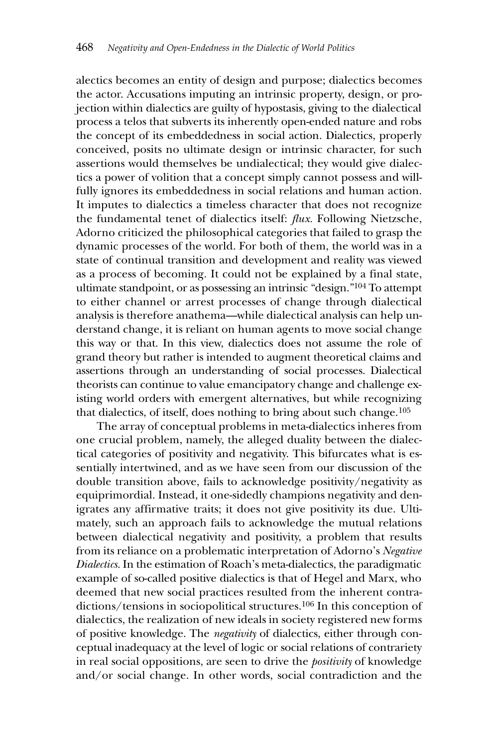alectics becomes an entity of design and purpose; dialectics becomes the actor. Accusations imputing an intrinsic property, design, or projection within dialectics are guilty of hypostasis, giving to the dialectical process a telos that subverts its inherently open-ended nature and robs the concept of its embeddedness in social action. Dialectics, properly conceived, posits no ultimate design or intrinsic character, for such assertions would themselves be undialectical; they would give dialectics a power of volition that a concept simply cannot possess and willfully ignores its embeddedness in social relations and human action. It imputes to dialectics a timeless character that does not recognize the fundamental tenet of dialectics itself: *flux.* Following Nietzsche, Adorno criticized the philosophical categories that failed to grasp the dynamic processes of the world. For both of them, the world was in a state of continual transition and development and reality was viewed as a process of becoming. It could not be explained by a final state, ultimate standpoint, or as possessing an intrinsic "design."104 To attempt to either channel or arrest processes of change through dialectical analysis is therefore anathema—while dialectical analysis can help understand change, it is reliant on human agents to move social change this way or that. In this view, dialectics does not assume the role of grand theory but rather is intended to augment theoretical claims and assertions through an understanding of social processes. Dialectical theorists can continue to value emancipatory change and challenge existing world orders with emergent alternatives, but while recognizing that dialectics, of itself, does nothing to bring about such change.105

The array of conceptual problems in meta-dialectics inheres from one crucial problem, namely, the alleged duality between the dialectical categories of positivity and negativity. This bifurcates what is essentially intertwined, and as we have seen from our discussion of the double transition above, fails to acknowledge positivity/negativity as equiprimordial. Instead, it one-sidedly champions negativity and denigrates any affirmative traits; it does not give positivity its due. Ultimately, such an approach fails to acknowledge the mutual relations between dialectical negativity and positivity, a problem that results from its reliance on a problematic interpretation of Adorno's *Negative Dialectics.* In the estimation of Roach's meta-dialectics, the paradigmatic example of so-called positive dialectics is that of Hegel and Marx, who deemed that new social practices resulted from the inherent contradictions/tensions in sociopolitical structures.106 In this conception of dialectics, the realization of new ideals in society registered new forms of positive knowledge. The *negativity* of dialectics, either through conceptual inadequacy at the level of logic or social relations of contrariety in real social oppositions, are seen to drive the *positivity* of knowledge and/or social change. In other words, social contradiction and the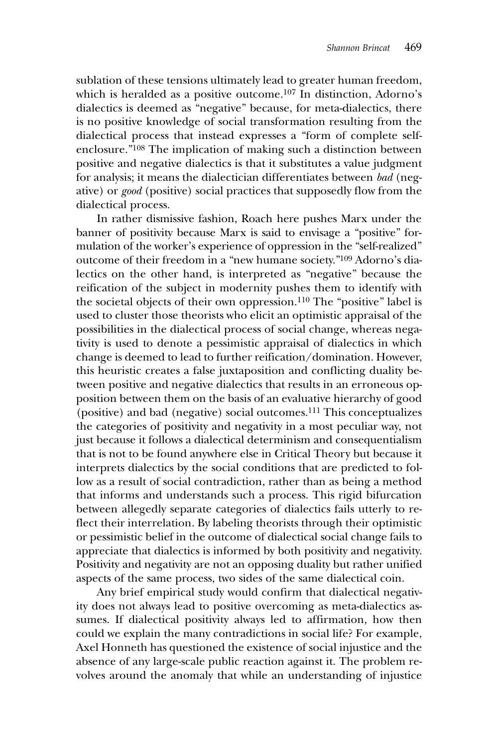sublation of these tensions ultimately lead to greater human freedom, which is heralded as a positive outcome.107 In distinction, Adorno's dialectics is deemed as "negative" because, for meta-dialectics, there is no positive knowledge of social transformation resulting from the dialectical process that instead expresses a "form of complete selfenclosure."108 The implication of making such a distinction between positive and negative dialectics is that it substitutes a value judgment for analysis; it means the dialectician differentiates between *bad* (negative) or *good* (positive) social practices that supposedly flow from the dialectical process.

In rather dismissive fashion, Roach here pushes Marx under the banner of positivity because Marx is said to envisage a "positive" formulation of the worker's experience of oppression in the "self-realized" outcome of their freedom in a "new humane society."109 Adorno's dialectics on the other hand, is interpreted as "negative" because the reification of the subject in modernity pushes them to identify with the societal objects of their own oppression.110 The "positive" label is used to cluster those theorists who elicit an optimistic appraisal of the possibilities in the dialectical process of social change, whereas negativity is used to denote a pessimistic appraisal of dialectics in which change is deemed to lead to further reification/domination. However, this heuristic creates a false juxtaposition and conflicting duality between positive and negative dialectics that results in an erroneous opposition between them on the basis of an evaluative hierarchy of good (positive) and bad (negative) social outcomes.111 This conceptualizes the categories of positivity and negativity in a most peculiar way, not just because it follows a dialectical determinism and consequentialism that is not to be found anywhere else in Critical Theory but because it interprets dialectics by the social conditions that are predicted to follow as a result of social contradiction, rather than as being a method that informs and understands such a process. This rigid bifurcation between allegedly separate categories of dialectics fails utterly to reflect their interrelation. By labeling theorists through their optimistic or pessimistic belief in the outcome of dialectical social change fails to appreciate that dialectics is informed by both positivity and negativity. Positivity and negativity are not an opposing duality but rather unified aspects of the same process, two sides of the same dialectical coin.

Any brief empirical study would confirm that dialectical negativity does not always lead to positive overcoming as meta-dialectics assumes. If dialectical positivity always led to affirmation, how then could we explain the many contradictions in social life? For example, Axel Honneth has questioned the existence of social injustice and the absence of any large-scale public reaction against it. The problem revolves around the anomaly that while an understanding of injustice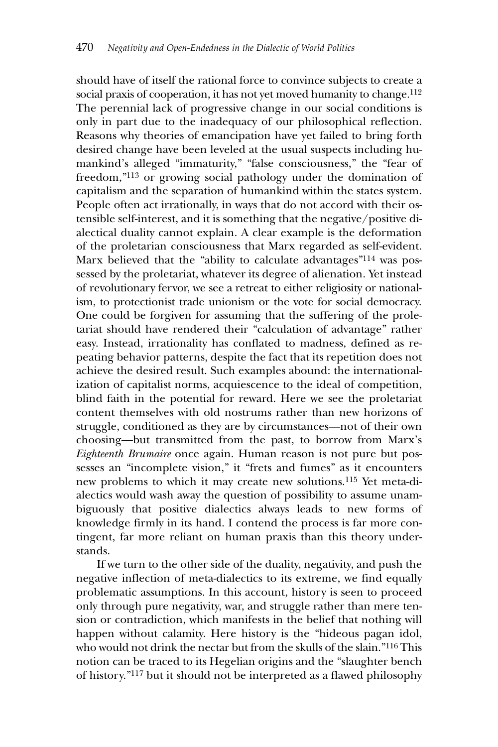should have of itself the rational force to convince subjects to create a social praxis of cooperation, it has not yet moved humanity to change.<sup>112</sup> The perennial lack of progressive change in our social conditions is only in part due to the inadequacy of our philosophical reflection. Reasons why theories of emancipation have yet failed to bring forth desired change have been leveled at the usual suspects including humankind's alleged "immaturity," "false consciousness," the "fear of freedom,"113 or growing social pathology under the domination of capitalism and the separation of humankind within the states system. People often act irrationally, in ways that do not accord with their ostensible self-interest, and it is something that the negative/positive dialectical duality cannot explain. A clear example is the deformation of the proletarian consciousness that Marx regarded as self-evident. Marx believed that the "ability to calculate advantages"<sup>114</sup> was possessed by the proletariat, whatever its degree of alienation. Yet instead of revolutionary fervor, we see a retreat to either religiosity or nationalism, to protectionist trade unionism or the vote for social democracy. One could be forgiven for assuming that the suffering of the proletariat should have rendered their "calculation of advantage" rather easy. Instead, irrationality has conflated to madness, defined as repeating behavior patterns, despite the fact that its repetition does not achieve the desired result. Such examples abound: the internationalization of capitalist norms, acquiescence to the ideal of competition, blind faith in the potential for reward. Here we see the proletariat content themselves with old nostrums rather than new horizons of struggle, conditioned as they are by circumstances—not of their own choosing—but transmitted from the past, to borrow from Marx's *Eighteenth Brumaire* once again. Human reason is not pure but possesses an "incomplete vision," it "frets and fumes" as it encounters new problems to which it may create new solutions.115 Yet meta-dialectics would wash away the question of possibility to assume unambiguously that positive dialectics always leads to new forms of knowledge firmly in its hand. I contend the process is far more contingent, far more reliant on human praxis than this theory understands.

If we turn to the other side of the duality, negativity, and push the negative inflection of meta-dialectics to its extreme, we find equally problematic assumptions. In this account, history is seen to proceed only through pure negativity, war, and struggle rather than mere tension or contradiction, which manifests in the belief that nothing will happen without calamity. Here history is the "hideous pagan idol, who would not drink the nectar but from the skulls of the slain."116 This notion can be traced to its Hegelian origins and the "slaughter bench of history."117 but it should not be interpreted as a flawed philosophy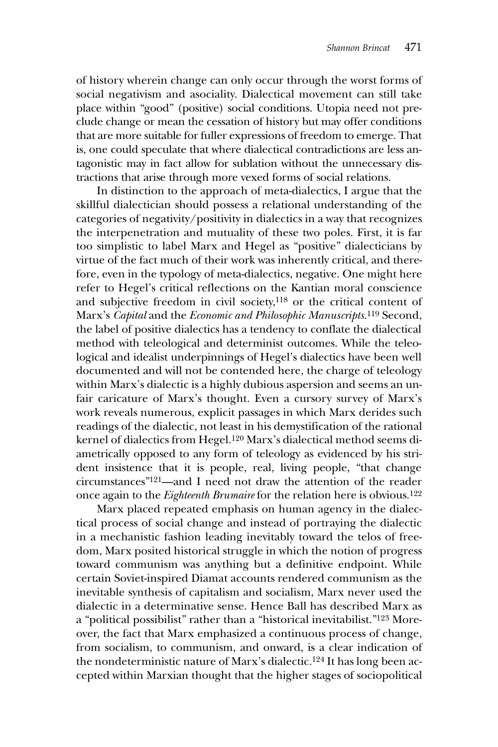of history wherein change can only occur through the worst forms of social negativism and asociality. Dialectical movement can still take place within "good" (positive) social conditions. Utopia need not preclude change or mean the cessation of history but may offer conditions that are more suitable for fuller expressions of freedom to emerge. That is, one could speculate that where dialectical contradictions are less antagonistic may in fact allow for sublation without the unnecessary distractions that arise through more vexed forms of social relations.

In distinction to the approach of meta-dialectics, I argue that the skillful dialectician should possess a relational understanding of the categories of negativity/positivity in dialectics in a way that recognizes the interpenetration and mutuality of these two poles. First, it is far too simplistic to label Marx and Hegel as "positive" dialecticians by virtue of the fact much of their work was inherently critical, and therefore, even in the typology of meta-dialectics, negative. One might here refer to Hegel's critical reflections on the Kantian moral conscience and subjective freedom in civil society,<sup>118</sup> or the critical content of Marx's *Capital* and the *Economic and Philosophic Manuscripts.*<sup>119</sup> Second, the label of positive dialectics has a tendency to conflate the dialectical method with teleological and determinist outcomes. While the teleological and idealist underpinnings of Hegel's dialectics have been well documented and will not be contended here, the charge of teleology within Marx's dialectic is a highly dubious aspersion and seems an unfair caricature of Marx's thought. Even a cursory survey of Marx's work reveals numerous, explicit passages in which Marx derides such readings of the dialectic, not least in his demystification of the rational kernel of dialectics from Hegel.120 Marx's dialectical method seems diametrically opposed to any form of teleology as evidenced by his strident insistence that it is people, real, living people, "that change circumstances"121—and I need not draw the attention of the reader once again to the *Eighteenth Brumaire* for the relation here is obvious.122

Marx placed repeated emphasis on human agency in the dialectical process of social change and instead of portraying the dialectic in a mechanistic fashion leading inevitably toward the telos of freedom, Marx posited historical struggle in which the notion of progress toward communism was anything but a definitive endpoint. While certain Soviet-inspired Diamat accounts rendered communism as the inevitable synthesis of capitalism and socialism, Marx never used the dialectic in a determinative sense. Hence Ball has described Marx as a "political possibilist" rather than a "historical inevitabilist."123 Moreover, the fact that Marx emphasized a continuous process of change, from socialism, to communism, and onward, is a clear indication of the nondeterministic nature of Marx's dialectic.124 It has long been accepted within Marxian thought that the higher stages of sociopolitical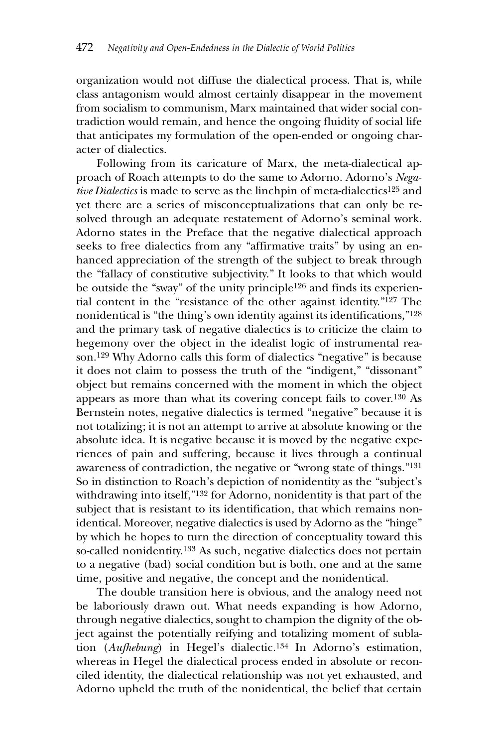organization would not diffuse the dialectical process. That is, while class antagonism would almost certainly disappear in the movement from socialism to communism, Marx maintained that wider social contradiction would remain, and hence the ongoing fluidity of social life that anticipates my formulation of the open-ended or ongoing character of dialectics.

Following from its caricature of Marx, the meta-dialectical approach of Roach attempts to do the same to Adorno. Adorno's *Negative Dialectics* is made to serve as the linchpin of meta-dialectics<sup>125</sup> and yet there are a series of misconceptualizations that can only be resolved through an adequate restatement of Adorno's seminal work. Adorno states in the Preface that the negative dialectical approach seeks to free dialectics from any "affirmative traits" by using an enhanced appreciation of the strength of the subject to break through the "fallacy of constitutive subjectivity." It looks to that which would be outside the "sway" of the unity principle126 and finds its experiential content in the "resistance of the other against identity."127 The nonidentical is "the thing's own identity against its identifications,"128 and the primary task of negative dialectics is to criticize the claim to hegemony over the object in the idealist logic of instrumental reason.129 Why Adorno calls this form of dialectics "negative" is because it does not claim to possess the truth of the "indigent," "dissonant" object but remains concerned with the moment in which the object appears as more than what its covering concept fails to cover.130 As Bernstein notes, negative dialectics is termed "negative" because it is not totalizing; it is not an attempt to arrive at absolute knowing or the absolute idea. It is negative because it is moved by the negative experiences of pain and suffering, because it lives through a continual awareness of contradiction, the negative or "wrong state of things."131 So in distinction to Roach's depiction of nonidentity as the "subject's withdrawing into itself,"132 for Adorno, nonidentity is that part of the subject that is resistant to its identification, that which remains nonidentical. Moreover, negative dialectics is used by Adorno as the "hinge" by which he hopes to turn the direction of conceptuality toward this so-called nonidentity.133 As such, negative dialectics does not pertain to a negative (bad) social condition but is both, one and at the same time, positive and negative, the concept and the nonidentical.

The double transition here is obvious, and the analogy need not be laboriously drawn out. What needs expanding is how Adorno, through negative dialectics, sought to champion the dignity of the object against the potentially reifying and totalizing moment of sublation (*Aufhebung*) in Hegel's dialectic.134 In Adorno's estimation, whereas in Hegel the dialectical process ended in absolute or reconciled identity, the dialectical relationship was not yet exhausted, and Adorno upheld the truth of the nonidentical, the belief that certain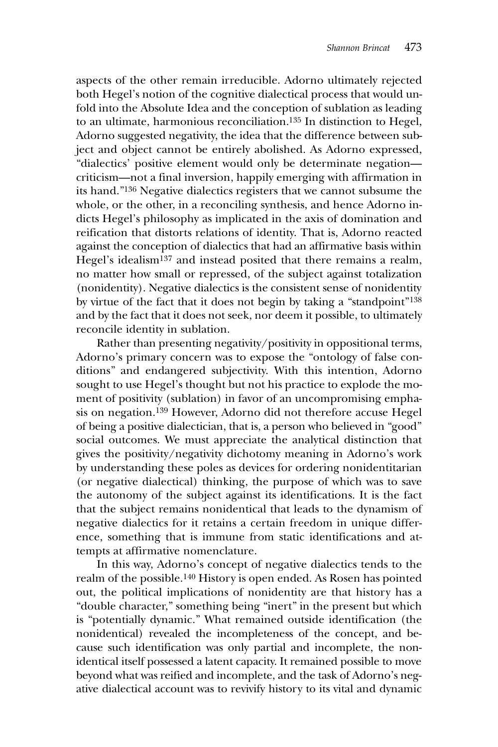aspects of the other remain irreducible. Adorno ultimately rejected both Hegel's notion of the cognitive dialectical process that would unfold into the Absolute Idea and the conception of sublation as leading to an ultimate, harmonious reconciliation.135 In distinction to Hegel, Adorno suggested negativity, the idea that the difference between subject and object cannot be entirely abolished. As Adorno expressed, "dialectics' positive element would only be determinate negation criticism—not a final inversion, happily emerging with affirmation in its hand."136 Negative dialectics registers that we cannot subsume the whole, or the other, in a reconciling synthesis, and hence Adorno indicts Hegel's philosophy as implicated in the axis of domination and reification that distorts relations of identity. That is, Adorno reacted against the conception of dialectics that had an affirmative basis within Hegel's idealism<sup>137</sup> and instead posited that there remains a realm, no matter how small or repressed, of the subject against totalization (nonidentity). Negative dialectics is the consistent sense of nonidentity by virtue of the fact that it does not begin by taking a "standpoint"138 and by the fact that it does not seek, nor deem it possible, to ultimately reconcile identity in sublation.

Rather than presenting negativity/positivity in oppositional terms, Adorno's primary concern was to expose the "ontology of false conditions" and endangered subjectivity. With this intention, Adorno sought to use Hegel's thought but not his practice to explode the moment of positivity (sublation) in favor of an uncompromising emphasis on negation.139 However, Adorno did not therefore accuse Hegel of being a positive dialectician, that is, a person who believed in "good" social outcomes. We must appreciate the analytical distinction that gives the positivity/negativity dichotomy meaning in Adorno's work by understanding these poles as devices for ordering nonidentitarian (or negative dialectical) thinking, the purpose of which was to save the autonomy of the subject against its identifications. It is the fact that the subject remains nonidentical that leads to the dynamism of negative dialectics for it retains a certain freedom in unique difference, something that is immune from static identifications and attempts at affirmative nomenclature.

In this way, Adorno's concept of negative dialectics tends to the realm of the possible.140 History is open ended. As Rosen has pointed out, the political implications of nonidentity are that history has a "double character," something being "inert" in the present but which is "potentially dynamic." What remained outside identification (the nonidentical) revealed the incompleteness of the concept, and because such identification was only partial and incomplete, the nonidentical itself possessed a latent capacity. It remained possible to move beyond what was reified and incomplete, and the task of Adorno's negative dialectical account was to revivify history to its vital and dynamic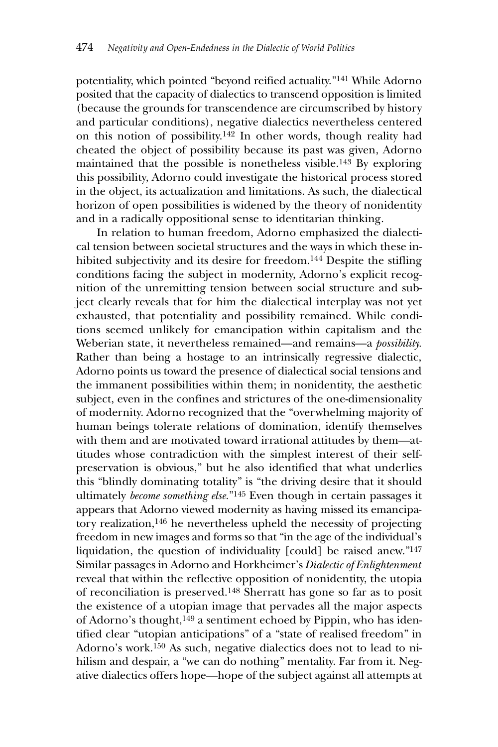potentiality, which pointed "beyond reified actuality."141 While Adorno posited that the capacity of dialectics to transcend opposition is limited (because the grounds for transcendence are circumscribed by history and particular conditions), negative dialectics nevertheless centered on this notion of possibility.142 In other words, though reality had cheated the object of possibility because its past was given, Adorno maintained that the possible is nonetheless visible.143 By exploring this possibility, Adorno could investigate the historical process stored in the object, its actualization and limitations. As such, the dialectical horizon of open possibilities is widened by the theory of nonidentity and in a radically oppositional sense to identitarian thinking.

In relation to human freedom, Adorno emphasized the dialectical tension between societal structures and the ways in which these inhibited subjectivity and its desire for freedom.144 Despite the stifling conditions facing the subject in modernity, Adorno's explicit recognition of the unremitting tension between social structure and subject clearly reveals that for him the dialectical interplay was not yet exhausted, that potentiality and possibility remained. While conditions seemed unlikely for emancipation within capitalism and the Weberian state, it nevertheless remained—and remains—a *possibility.* Rather than being a hostage to an intrinsically regressive dialectic, Adorno points us toward the presence of dialectical social tensions and the immanent possibilities within them; in nonidentity, the aesthetic subject, even in the confines and strictures of the one-dimensionality of modernity. Adorno recognized that the "overwhelming majority of human beings tolerate relations of domination, identify themselves with them and are motivated toward irrational attitudes by them—attitudes whose contradiction with the simplest interest of their selfpreservation is obvious," but he also identified that what underlies this "blindly dominating totality" is "the driving desire that it should ultimately *become something else.*"145 Even though in certain passages it appears that Adorno viewed modernity as having missed its emancipatory realization,146 he nevertheless upheld the necessity of projecting freedom in new images and forms so that "in the age of the individual's liquidation, the question of individuality [could] be raised anew."147 Similar passages in Adorno and Horkheimer's *Dialectic of Enlightenment* reveal that within the reflective opposition of nonidentity, the utopia of reconciliation is preserved.148 Sherratt has gone so far as to posit the existence of a utopian image that pervades all the major aspects of Adorno's thought,149 a sentiment echoed by Pippin, who has identified clear "utopian anticipations" of a "state of realised freedom" in Adorno's work.150 As such, negative dialectics does not to lead to nihilism and despair, a "we can do nothing" mentality. Far from it. Negative dialectics offers hope—hope of the subject against all attempts at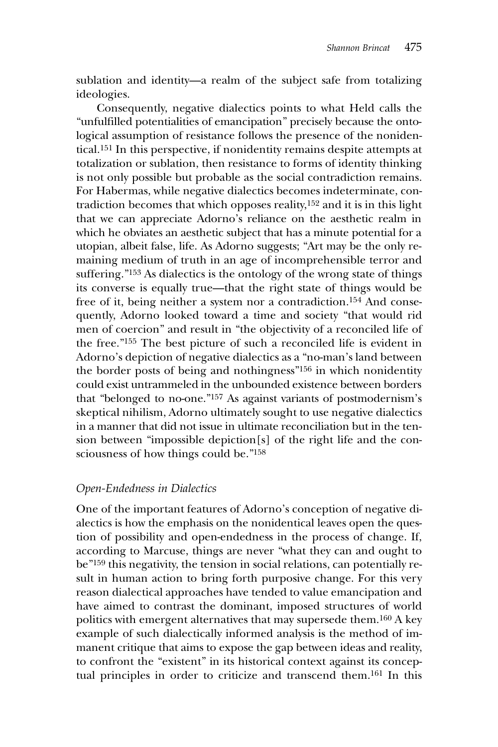sublation and identity—a realm of the subject safe from totalizing ideologies.

Consequently, negative dialectics points to what Held calls the "unfulfilled potentialities of emancipation" precisely because the ontological assumption of resistance follows the presence of the nonidentical.151 In this perspective, if nonidentity remains despite attempts at totalization or sublation, then resistance to forms of identity thinking is not only possible but probable as the social contradiction remains. For Habermas, while negative dialectics becomes indeterminate, contradiction becomes that which opposes reality,152 and it is in this light that we can appreciate Adorno's reliance on the aesthetic realm in which he obviates an aesthetic subject that has a minute potential for a utopian, albeit false, life. As Adorno suggests; "Art may be the only remaining medium of truth in an age of incomprehensible terror and suffering."153 As dialectics is the ontology of the wrong state of things its converse is equally true—that the right state of things would be free of it, being neither a system nor a contradiction.154 And consequently, Adorno looked toward a time and society "that would rid men of coercion" and result in "the objectivity of a reconciled life of the free."155 The best picture of such a reconciled life is evident in Adorno's depiction of negative dialectics as a "no-man's land between the border posts of being and nothingness"156 in which nonidentity could exist untrammeled in the unbounded existence between borders that "belonged to no-one."157 As against variants of postmodernism's skeptical nihilism, Adorno ultimately sought to use negative dialectics in a manner that did not issue in ultimate reconciliation but in the tension between "impossible depiction[s] of the right life and the consciousness of how things could be."158

### *Open-Endedness in Dialectics*

One of the important features of Adorno's conception of negative dialectics is how the emphasis on the nonidentical leaves open the question of possibility and open-endedness in the process of change. If, according to Marcuse, things are never "what they can and ought to be"159 this negativity, the tension in social relations, can potentially result in human action to bring forth purposive change. For this very reason dialectical approaches have tended to value emancipation and have aimed to contrast the dominant, imposed structures of world politics with emergent alternatives that may supersede them.160 A key example of such dialectically informed analysis is the method of immanent critique that aims to expose the gap between ideas and reality, to confront the "existent" in its historical context against its conceptual principles in order to criticize and transcend them.161 In this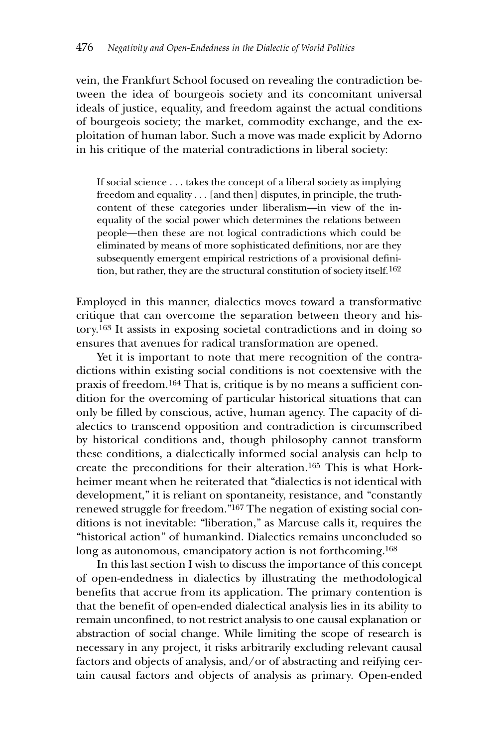vein, the Frankfurt School focused on revealing the contradiction between the idea of bourgeois society and its concomitant universal ideals of justice, equality, and freedom against the actual conditions of bourgeois society; the market, commodity exchange, and the exploitation of human labor. Such a move was made explicit by Adorno in his critique of the material contradictions in liberal society:

If social science . . . takes the concept of a liberal society as implying freedom and equality . . . [and then] disputes, in principle, the truthcontent of these categories under liberalism—in view of the inequality of the social power which determines the relations between people—then these are not logical contradictions which could be eliminated by means of more sophisticated definitions, nor are they subsequently emergent empirical restrictions of a provisional definition, but rather, they are the structural constitution of society itself.162

Employed in this manner, dialectics moves toward a transformative critique that can overcome the separation between theory and history.163 It assists in exposing societal contradictions and in doing so ensures that avenues for radical transformation are opened.

Yet it is important to note that mere recognition of the contradictions within existing social conditions is not coextensive with the praxis of freedom.164 That is, critique is by no means a sufficient condition for the overcoming of particular historical situations that can only be filled by conscious, active, human agency. The capacity of dialectics to transcend opposition and contradiction is circumscribed by historical conditions and, though philosophy cannot transform these conditions, a dialectically informed social analysis can help to create the preconditions for their alteration.165 This is what Horkheimer meant when he reiterated that "dialectics is not identical with development," it is reliant on spontaneity, resistance, and "constantly renewed struggle for freedom."167 The negation of existing social conditions is not inevitable: "liberation," as Marcuse calls it, requires the "historical action" of humankind. Dialectics remains unconcluded so long as autonomous, emancipatory action is not forthcoming.<sup>168</sup>

In this last section I wish to discuss the importance of this concept of open-endedness in dialectics by illustrating the methodological benefits that accrue from its application. The primary contention is that the benefit of open-ended dialectical analysis lies in its ability to remain unconfined, to not restrict analysis to one causal explanation or abstraction of social change. While limiting the scope of research is necessary in any project, it risks arbitrarily excluding relevant causal factors and objects of analysis, and/or of abstracting and reifying certain causal factors and objects of analysis as primary. Open-ended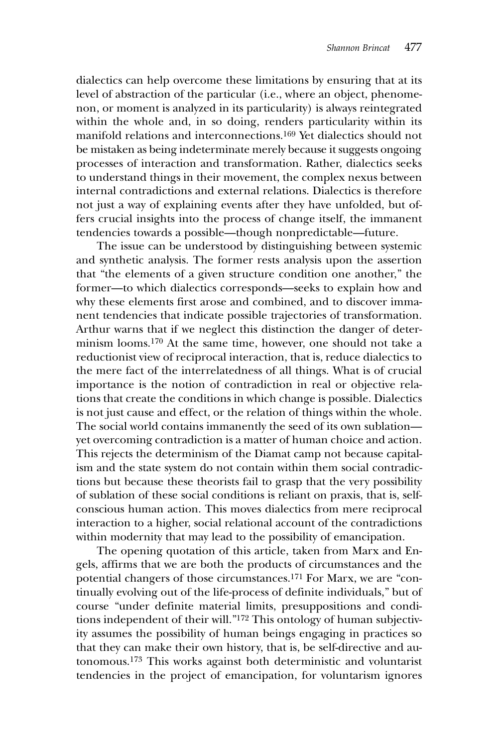dialectics can help overcome these limitations by ensuring that at its level of abstraction of the particular (i.e., where an object, phenomenon, or moment is analyzed in its particularity) is always reintegrated within the whole and, in so doing, renders particularity within its manifold relations and interconnections.169 Yet dialectics should not be mistaken as being indeterminate merely because it suggests ongoing processes of interaction and transformation. Rather, dialectics seeks to understand things in their movement, the complex nexus between internal contradictions and external relations. Dialectics is therefore not just a way of explaining events after they have unfolded, but offers crucial insights into the process of change itself, the immanent tendencies towards a possible—though nonpredictable—future.

The issue can be understood by distinguishing between systemic and synthetic analysis. The former rests analysis upon the assertion that "the elements of a given structure condition one another," the former—to which dialectics corresponds—seeks to explain how and why these elements first arose and combined, and to discover immanent tendencies that indicate possible trajectories of transformation. Arthur warns that if we neglect this distinction the danger of determinism looms.170 At the same time, however, one should not take a reductionist view of reciprocal interaction, that is, reduce dialectics to the mere fact of the interrelatedness of all things. What is of crucial importance is the notion of contradiction in real or objective relations that create the conditions in which change is possible. Dialectics is not just cause and effect, or the relation of things within the whole. The social world contains immanently the seed of its own sublation yet overcoming contradiction is a matter of human choice and action. This rejects the determinism of the Diamat camp not because capitalism and the state system do not contain within them social contradictions but because these theorists fail to grasp that the very possibility of sublation of these social conditions is reliant on praxis, that is, selfconscious human action. This moves dialectics from mere reciprocal interaction to a higher, social relational account of the contradictions within modernity that may lead to the possibility of emancipation.

The opening quotation of this article, taken from Marx and Engels, affirms that we are both the products of circumstances and the potential changers of those circumstances.171 For Marx, we are "continually evolving out of the life-process of definite individuals," but of course "under definite material limits, presuppositions and conditions independent of their will."172 This ontology of human subjectivity assumes the possibility of human beings engaging in practices so that they can make their own history, that is, be self-directive and autonomous.173 This works against both deterministic and voluntarist tendencies in the project of emancipation, for voluntarism ignores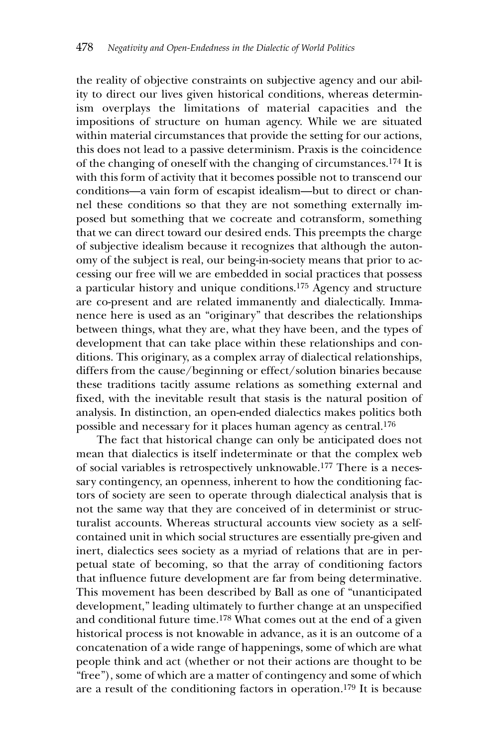the reality of objective constraints on subjective agency and our ability to direct our lives given historical conditions, whereas determinism overplays the limitations of material capacities and the impositions of structure on human agency. While we are situated within material circumstances that provide the setting for our actions, this does not lead to a passive determinism. Praxis is the coincidence of the changing of oneself with the changing of circumstances.174 It is with this form of activity that it becomes possible not to transcend our conditions—a vain form of escapist idealism—but to direct or channel these conditions so that they are not something externally imposed but something that we cocreate and cotransform, something that we can direct toward our desired ends. This preempts the charge of subjective idealism because it recognizes that although the autonomy of the subject is real, our being-in-society means that prior to accessing our free will we are embedded in social practices that possess a particular history and unique conditions.175 Agency and structure are co-present and are related immanently and dialectically. Immanence here is used as an "originary" that describes the relationships between things, what they are, what they have been, and the types of development that can take place within these relationships and conditions. This originary, as a complex array of dialectical relationships, differs from the cause/beginning or effect/solution binaries because these traditions tacitly assume relations as something external and fixed, with the inevitable result that stasis is the natural position of analysis. In distinction, an open-ended dialectics makes politics both possible and necessary for it places human agency as central.176

The fact that historical change can only be anticipated does not mean that dialectics is itself indeterminate or that the complex web of social variables is retrospectively unknowable.177 There is a necessary contingency, an openness, inherent to how the conditioning factors of society are seen to operate through dialectical analysis that is not the same way that they are conceived of in determinist or structuralist accounts. Whereas structural accounts view society as a selfcontained unit in which social structures are essentially pre-given and inert, dialectics sees society as a myriad of relations that are in perpetual state of becoming, so that the array of conditioning factors that influence future development are far from being determinative. This movement has been described by Ball as one of "unanticipated development," leading ultimately to further change at an unspecified and conditional future time.178 What comes out at the end of a given historical process is not knowable in advance, as it is an outcome of a concatenation of a wide range of happenings, some of which are what people think and act (whether or not their actions are thought to be "free"), some of which are a matter of contingency and some of which are a result of the conditioning factors in operation.179 It is because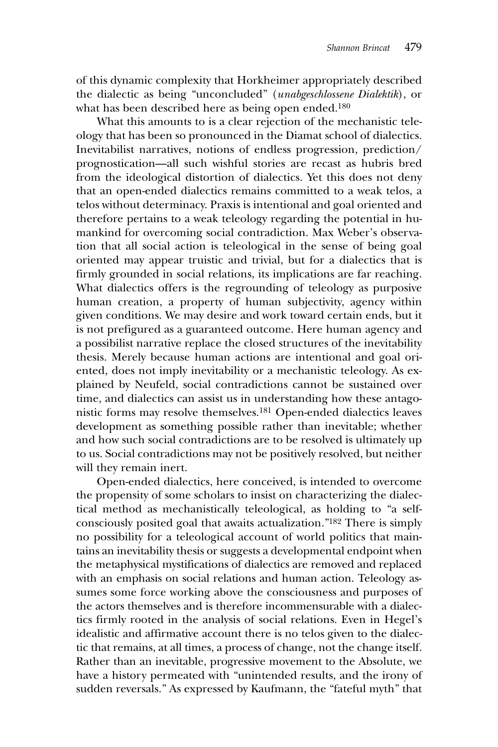of this dynamic complexity that Horkheimer appropriately described the dialectic as being "unconcluded" (*unabgeschlossene Dialektik*), or what has been described here as being open ended.<sup>180</sup>

What this amounts to is a clear rejection of the mechanistic teleology that has been so pronounced in the Diamat school of dialectics. Inevitabilist narratives, notions of endless progression, prediction/ prognostication—all such wishful stories are recast as hubris bred from the ideological distortion of dialectics. Yet this does not deny that an open-ended dialectics remains committed to a weak telos, a telos without determinacy. Praxis is intentional and goal oriented and therefore pertains to a weak teleology regarding the potential in humankind for overcoming social contradiction. Max Weber's observation that all social action is teleological in the sense of being goal oriented may appear truistic and trivial, but for a dialectics that is firmly grounded in social relations, its implications are far reaching. What dialectics offers is the regrounding of teleology as purposive human creation, a property of human subjectivity, agency within given conditions. We may desire and work toward certain ends, but it is not prefigured as a guaranteed outcome. Here human agency and a possibilist narrative replace the closed structures of the inevitability thesis. Merely because human actions are intentional and goal oriented, does not imply inevitability or a mechanistic teleology. As explained by Neufeld, social contradictions cannot be sustained over time, and dialectics can assist us in understanding how these antagonistic forms may resolve themselves.181 Open-ended dialectics leaves development as something possible rather than inevitable; whether and how such social contradictions are to be resolved is ultimately up to us. Social contradictions may not be positively resolved, but neither will they remain inert.

Open-ended dialectics, here conceived, is intended to overcome the propensity of some scholars to insist on characterizing the dialectical method as mechanistically teleological, as holding to "a selfconsciously posited goal that awaits actualization."182 There is simply no possibility for a teleological account of world politics that maintains an inevitability thesis or suggests a developmental endpoint when the metaphysical mystifications of dialectics are removed and replaced with an emphasis on social relations and human action. Teleology assumes some force working above the consciousness and purposes of the actors themselves and is therefore incommensurable with a dialectics firmly rooted in the analysis of social relations. Even in Hegel's idealistic and affirmative account there is no telos given to the dialectic that remains, at all times, a process of change, not the change itself. Rather than an inevitable, progressive movement to the Absolute, we have a history permeated with "unintended results, and the irony of sudden reversals." As expressed by Kaufmann, the "fateful myth" that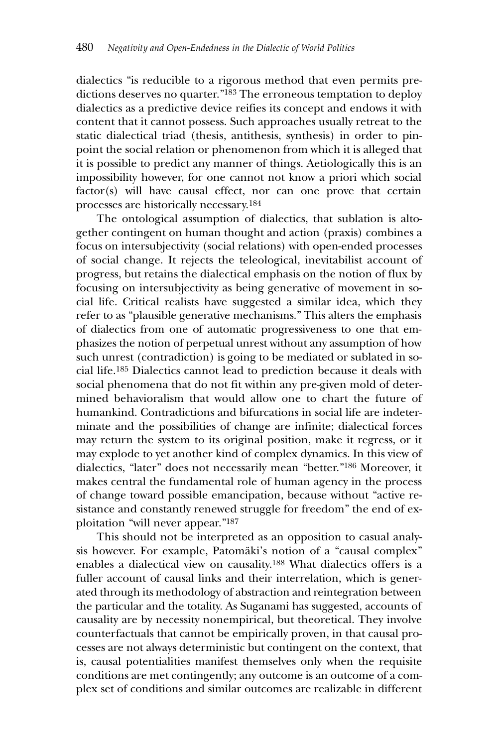dialectics "is reducible to a rigorous method that even permits predictions deserves no quarter."183 The erroneous temptation to deploy dialectics as a predictive device reifies its concept and endows it with content that it cannot possess. Such approaches usually retreat to the static dialectical triad (thesis, antithesis, synthesis) in order to pinpoint the social relation or phenomenon from which it is alleged that it is possible to predict any manner of things. Aetiologically this is an impossibility however, for one cannot not know a priori which social factor(s) will have causal effect, nor can one prove that certain processes are historically necessary.184

The ontological assumption of dialectics, that sublation is altogether contingent on human thought and action (praxis) combines a focus on intersubjectivity (social relations) with open-ended processes of social change. It rejects the teleological, inevitabilist account of progress, but retains the dialectical emphasis on the notion of flux by focusing on intersubjectivity as being generative of movement in social life. Critical realists have suggested a similar idea, which they refer to as "plausible generative mechanisms." This alters the emphasis of dialectics from one of automatic progressiveness to one that emphasizes the notion of perpetual unrest without any assumption of how such unrest (contradiction) is going to be mediated or sublated in social life.185 Dialectics cannot lead to prediction because it deals with social phenomena that do not fit within any pre-given mold of determined behavioralism that would allow one to chart the future of humankind. Contradictions and bifurcations in social life are indeterminate and the possibilities of change are infinite; dialectical forces may return the system to its original position, make it regress, or it may explode to yet another kind of complex dynamics. In this view of dialectics, "later" does not necessarily mean "better."186 Moreover, it makes central the fundamental role of human agency in the process of change toward possible emancipation, because without "active resistance and constantly renewed struggle for freedom" the end of exploitation "will never appear."187

This should not be interpreted as an opposition to casual analysis however. For example, Patomäki's notion of a "causal complex" enables a dialectical view on causality.188 What dialectics offers is a fuller account of causal links and their interrelation, which is generated through its methodology of abstraction and reintegration between the particular and the totality. As Suganami has suggested, accounts of causality are by necessity nonempirical, but theoretical. They involve counterfactuals that cannot be empirically proven, in that causal processes are not always deterministic but contingent on the context, that is, causal potentialities manifest themselves only when the requisite conditions are met contingently; any outcome is an outcome of a complex set of conditions and similar outcomes are realizable in different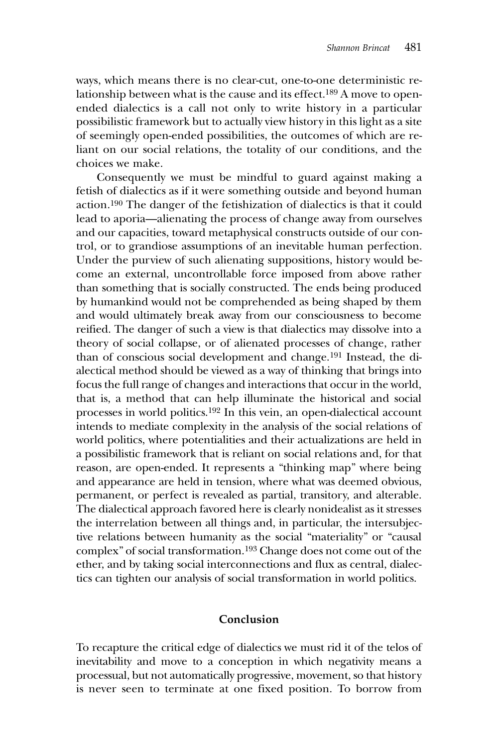ways, which means there is no clear-cut, one-to-one deterministic relationship between what is the cause and its effect.189 A move to openended dialectics is a call not only to write history in a particular possibilistic framework but to actually view history in this light as a site of seemingly open-ended possibilities, the outcomes of which are reliant on our social relations, the totality of our conditions, and the choices we make.

Consequently we must be mindful to guard against making a fetish of dialectics as if it were something outside and beyond human action.190 The danger of the fetishization of dialectics is that it could lead to aporia—alienating the process of change away from ourselves and our capacities, toward metaphysical constructs outside of our control, or to grandiose assumptions of an inevitable human perfection. Under the purview of such alienating suppositions, history would become an external, uncontrollable force imposed from above rather than something that is socially constructed. The ends being produced by humankind would not be comprehended as being shaped by them and would ultimately break away from our consciousness to become reified. The danger of such a view is that dialectics may dissolve into a theory of social collapse, or of alienated processes of change, rather than of conscious social development and change.191 Instead, the dialectical method should be viewed as a way of thinking that brings into focus the full range of changes and interactions that occur in the world, that is, a method that can help illuminate the historical and social processes in world politics.192 In this vein, an open-dialectical account intends to mediate complexity in the analysis of the social relations of world politics, where potentialities and their actualizations are held in a possibilistic framework that is reliant on social relations and, for that reason, are open-ended. It represents a "thinking map" where being and appearance are held in tension, where what was deemed obvious, permanent, or perfect is revealed as partial, transitory, and alterable. The dialectical approach favored here is clearly nonidealist as it stresses the interrelation between all things and, in particular, the intersubjective relations between humanity as the social "materiality" or "causal complex" of social transformation.193 Change does not come out of the ether, and by taking social interconnections and flux as central, dialectics can tighten our analysis of social transformation in world politics.

#### **Conclusion**

To recapture the critical edge of dialectics we must rid it of the telos of inevitability and move to a conception in which negativity means a processual, but not automatically progressive, movement, so that history is never seen to terminate at one fixed position. To borrow from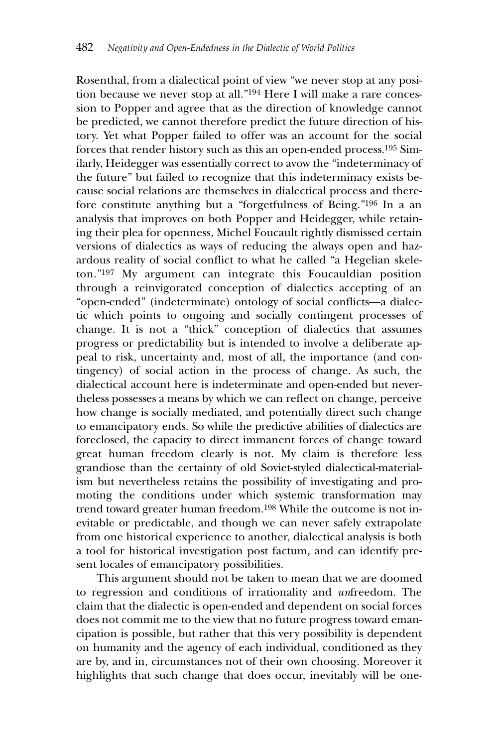Rosenthal, from a dialectical point of view "we never stop at any position because we never stop at all."194 Here I will make a rare concession to Popper and agree that as the direction of knowledge cannot be predicted, we cannot therefore predict the future direction of history. Yet what Popper failed to offer was an account for the social forces that render history such as this an open-ended process.195 Similarly, Heidegger was essentially correct to avow the "indeterminacy of the future" but failed to recognize that this indeterminacy exists because social relations are themselves in dialectical process and therefore constitute anything but a "forgetfulness of Being."196 In a an analysis that improves on both Popper and Heidegger, while retaining their plea for openness, Michel Foucault rightly dismissed certain versions of dialectics as ways of reducing the always open and hazardous reality of social conflict to what he called "a Hegelian skeleton."197 My argument can integrate this Foucauldian position through a reinvigorated conception of dialectics accepting of an "open-ended" (indeterminate) ontology of social conflicts—a dialectic which points to ongoing and socially contingent processes of change. It is not a "thick" conception of dialectics that assumes progress or predictability but is intended to involve a deliberate appeal to risk, uncertainty and, most of all, the importance (and contingency) of social action in the process of change. As such, the dialectical account here is indeterminate and open-ended but nevertheless possesses a means by which we can reflect on change, perceive how change is socially mediated, and potentially direct such change to emancipatory ends. So while the predictive abilities of dialectics are foreclosed, the capacity to direct immanent forces of change toward great human freedom clearly is not. My claim is therefore less grandiose than the certainty of old Soviet-styled dialectical-materialism but nevertheless retains the possibility of investigating and promoting the conditions under which systemic transformation may trend toward greater human freedom.198 While the outcome is not inevitable or predictable, and though we can never safely extrapolate from one historical experience to another, dialectical analysis is both a tool for historical investigation post factum*,* and can identify present locales of emancipatory possibilities.

This argument should not be taken to mean that we are doomed to regression and conditions of irrationality and *un*freedom. The claim that the dialectic is open-ended and dependent on social forces does not commit me to the view that no future progress toward emancipation is possible, but rather that this very possibility is dependent on humanity and the agency of each individual, conditioned as they are by, and in, circumstances not of their own choosing. Moreover it highlights that such change that does occur, inevitably will be one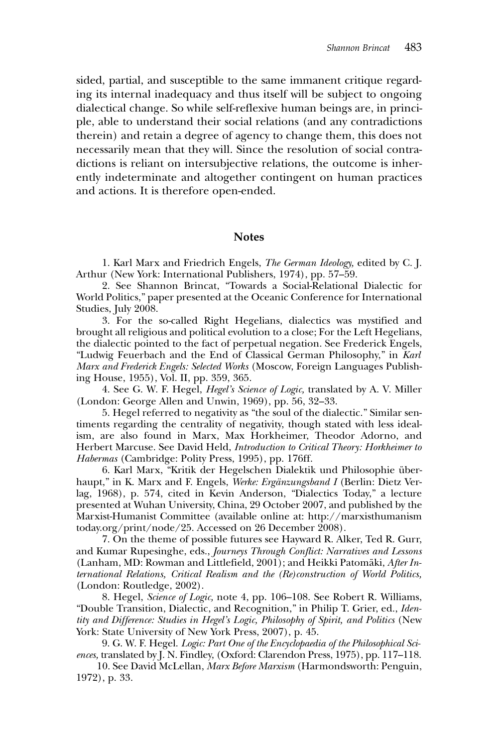sided, partial, and susceptible to the same immanent critique regarding its internal inadequacy and thus itself will be subject to ongoing dialectical change. So while self-reflexive human beings are, in principle, able to understand their social relations (and any contradictions therein) and retain a degree of agency to change them, this does not necessarily mean that they will. Since the resolution of social contradictions is reliant on intersubjective relations, the outcome is inherently indeterminate and altogether contingent on human practices and actions. It is therefore open-ended.

#### **Notes**

1. Karl Marx and Friedrich Engels, *The German Ideology,* edited by C. J. Arthur (New York: International Publishers, 1974), pp. 57–59.

2. See Shannon Brincat, "Towards a Social-Relational Dialectic for World Politics," paper presented at the Oceanic Conference for International Studies, July 2008.

3. For the so-called Right Hegelians, dialectics was mystified and brought all religious and political evolution to a close; For the Left Hegelians, the dialectic pointed to the fact of perpetual negation. See Frederick Engels, "Ludwig Feuerbach and the End of Classical German Philosophy," in *Karl Marx and Frederick Engels: Selected Works* (Moscow, Foreign Languages Publishing House, 1955), Vol. II, pp. 359, 365.

4. See G. W. F. Hegel, *Hegel's Science of Logic,* translated by A. V. Miller (London: George Allen and Unwin, 1969), pp. 56, 32–33.

5. Hegel referred to negativity as "the soul of the dialectic." Similar sentiments regarding the centrality of negativity, though stated with less idealism, are also found in Marx, Max Horkheimer, Theodor Adorno, and Herbert Marcuse. See David Held, *Introduction to Critical Theory: Horkheimer to Habermas* (Cambridge: Polity Press, 1995), pp. 176ff.

6. Karl Marx, "Kritik der Hegelschen Dialektik und Philosophie überhaupt," in K. Marx and F. Engels, *Werke: Ergänzungsband I* (Berlin: Dietz Verlag, 1968), p. 574, cited in Kevin Anderson, "Dialectics Today," a lecture presented at Wuhan University, China, 29 October 2007, and published by the Marxist-Humanist Committee (available online at: http://marxisthumanism today.org/print/node/25. Accessed on 26 December 2008).

7. On the theme of possible futures see Hayward R. Alker, Ted R. Gurr, and Kumar Rupesinghe, eds., *Journeys Through Conflict: Narratives and Lessons* (Lanham, MD: Rowman and Littlefield, 2001); and Heikki Patomäki, *After International Relations, Critical Realism and the (Re)construction of World Politics,* (London: Routledge, 2002).

8. Hegel, *Science of Logic,* note 4, pp. 106–108. See Robert R. Williams, "Double Transition, Dialectic, and Recognition," in Philip T. Grier, ed., *Identity and Difference: Studies in Hegel's Logic, Philosophy of Spirit, and Politics* (New York: State University of New York Press, 2007), p. 45.

9. G. W. F. Hegel. *Logic: Part One of the Encyclopaedia of the Philosophical Sciences,* translated by J. N. Findley, (Oxford: Clarendon Press, 1975), pp. 117–118.

10. See David McLellan, *Marx Before Marxism* (Harmondsworth: Penguin, 1972), p. 33.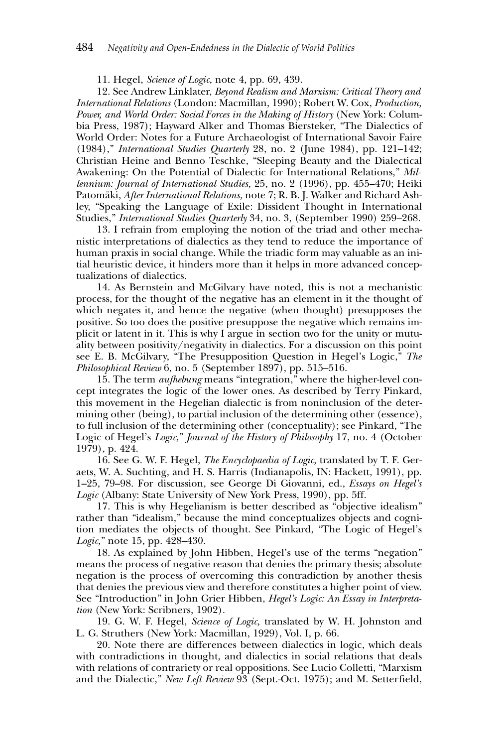11. Hegel, *Science of Logic,* note 4, pp. 69, 439.

12. See Andrew Linklater, *Beyond Realism and Marxism: Critical Theory and International Relations* (London: Macmillan, 1990); Robert W. Cox, *Production, Power, and World Order: Social Forces in the Making of History* (New York: Columbia Press, 1987); Hayward Alker and Thomas Biersteker, "The Dialectics of World Order: Notes for a Future Archaeologist of International Savoir Faire (1984)," *International Studies Quarterly* 28, no. 2 (June 1984), pp. 121–142; Christian Heine and Benno Teschke, "Sleeping Beauty and the Dialectical Awakening: On the Potential of Dialectic for International Relations," *Millennium: Journal of International Studies,* 25, no. 2 (1996), pp. 455–470; Heiki Patomäki, *After International Relations,* note 7; R. B. J. Walker and Richard Ashley, "Speaking the Language of Exile: Dissident Thought in International Studies," *International Studies Quarterly* 34, no. 3, (September 1990) 259–268.

13. I refrain from employing the notion of the triad and other mechanistic interpretations of dialectics as they tend to reduce the importance of human praxis in social change. While the triadic form may valuable as an initial heuristic device, it hinders more than it helps in more advanced conceptualizations of dialectics.

14. As Bernstein and McGilvary have noted, this is not a mechanistic process, for the thought of the negative has an element in it the thought of which negates it, and hence the negative (when thought) presupposes the positive. So too does the positive presuppose the negative which remains implicit or latent in it. This is why I argue in section two for the unity or mutuality between positivity/negativity in dialectics. For a discussion on this point see E. B. McGilvary, "The Presupposition Question in Hegel's Logic," *The Philosophical Review* 6, no. 5 (September 1897), pp. 515–516.

15. The term *aufhebung* means "integration," where the higher-level concept integrates the logic of the lower ones. As described by Terry Pinkard, this movement in the Hegelian dialectic is from noninclusion of the determining other (being), to partial inclusion of the determining other (essence), to full inclusion of the determining other (conceptuality); see Pinkard, "The Logic of Hegel's *Logic,*" *Journal of the History of Philosophy* 17, no. 4 (October 1979), p. 424.

16. See G. W. F. Hegel, *The Encyclopaedia of Logic,* translated by T. F. Geraets, W. A. Suchting, and H. S. Harris (Indianapolis, IN: Hackett, 1991), pp. 1–25, 79–98. For discussion, see George Di Giovanni, ed., *Essays on Hegel's Logic* (Albany: State University of New York Press, 1990), pp. 5ff.

17. This is why Hegelianism is better described as "objective idealism" rather than "idealism," because the mind conceptualizes objects and cognition mediates the objects of thought. See Pinkard, "The Logic of Hegel's *Logic,*" note 15, pp. 428–430.

18. As explained by John Hibben, Hegel's use of the terms "negation" means the process of negative reason that denies the primary thesis; absolute negation is the process of overcoming this contradiction by another thesis that denies the previous view and therefore constitutes a higher point of view. See "Introduction" in John Grier Hibben, *Hegel's Logic: An Essay in Interpretation* (New York: Scribners, 1902).

19. G. W. F. Hegel, *Science of Logic,* translated by W. H. Johnston and L. G. Struthers (New York: Macmillan, 1929), Vol. I, p. 66.

20. Note there are differences between dialectics in logic, which deals with contradictions in thought, and dialectics in social relations that deals with relations of contrariety or real oppositions. See Lucio Colletti, "Marxism and the Dialectic," *New Left Review* 93 (Sept.-Oct. 1975); and M. Setterfield,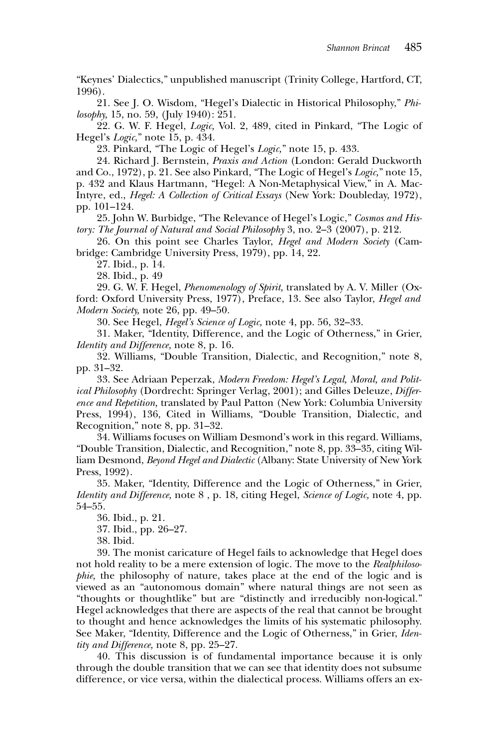"Keynes' Dialectics," unpublished manuscript (Trinity College, Hartford, CT, 1996).

21. See J. O. Wisdom, "Hegel's Dialectic in Historical Philosophy," *Philosophy,* 15, no. 59, (July 1940): 251.

22. G. W. F. Hegel, *Logic,* Vol. 2, 489, cited in Pinkard, "The Logic of Hegel's *Logic,*" note 15, p. 434.

23. Pinkard, "The Logic of Hegel's *Logic,*" note 15, p. 433.

24. Richard J. Bernstein, *Praxis and Action* (London: Gerald Duckworth and Co., 1972), p. 21. See also Pinkard, "The Logic of Hegel's *Logic,*" note 15, p. 432 and Klaus Hartmann, "Hegel: A Non-Metaphysical View," in A. Mac-Intyre, ed., *Hegel: A Collection of Critical Essays* (New York: Doubleday, 1972), pp. 101–124.

25. John W. Burbidge, "The Relevance of Hegel's Logic," *Cosmos and History: The Journal of Natural and Social Philosophy* 3, no. 2–3 (2007), p. 212.

26. On this point see Charles Taylor, *Hegel and Modern Society* (Cambridge: Cambridge University Press, 1979), pp. 14, 22.

27. Ibid., p. 14.

28. Ibid., p. 49

29. G. W. F. Hegel, *Phenomenology of Spirit,* translated by A. V. Miller (Oxford: Oxford University Press, 1977), Preface, 13. See also Taylor, *Hegel and Modern Society,* note 26, pp. 49–50.

30. See Hegel, *Hegel's Science of Logic,* note 4, pp. 56, 32–33.

31. Maker, "Identity, Difference, and the Logic of Otherness," in Grier, *Identity and Difference,* note 8, p. 16.

32. Williams, "Double Transition, Dialectic, and Recognition," note 8, pp. 31–32.

33. See Adriaan Peperzak, *Modern Freedom: Hegel's Legal, Moral, and Political Philosophy* (Dordrecht: Springer Verlag, 2001); and Gilles Deleuze, *Difference and Repetition,* translated by Paul Patton (New York: Columbia University Press, 1994), 136, Cited in Williams, "Double Transition, Dialectic, and Recognition," note 8, pp. 31–32.

34. Williams focuses on William Desmond's work in this regard. Williams, "Double Transition, Dialectic, and Recognition," note 8, pp. 33–35, citing William Desmond, *Beyond Hegel and Dialectic* (Albany: State University of New York Press, 1992).

35. Maker, "Identity, Difference and the Logic of Otherness," in Grier, *Identity and Difference,* note 8 , p. 18, citing Hegel, *Science of Logic,* note 4, pp. 54–55.

36. Ibid., p. 21.

37. Ibid., pp. 26–27.

38. Ibid.

39. The monist caricature of Hegel fails to acknowledge that Hegel does not hold reality to be a mere extension of logic. The move to the *Realphilosophie,* the philosophy of nature, takes place at the end of the logic and is viewed as an "autonomous domain" where natural things are not seen as "thoughts or thoughtlike" but are "distinctly and irreducibly non-logical." Hegel acknowledges that there are aspects of the real that cannot be brought to thought and hence acknowledges the limits of his systematic philosophy. See Maker, "Identity, Difference and the Logic of Otherness," in Grier, *Identity and Difference,* note 8, pp. 25–27.

40. This discussion is of fundamental importance because it is only through the double transition that we can see that identity does not subsume difference, or vice versa, within the dialectical process. Williams offers an ex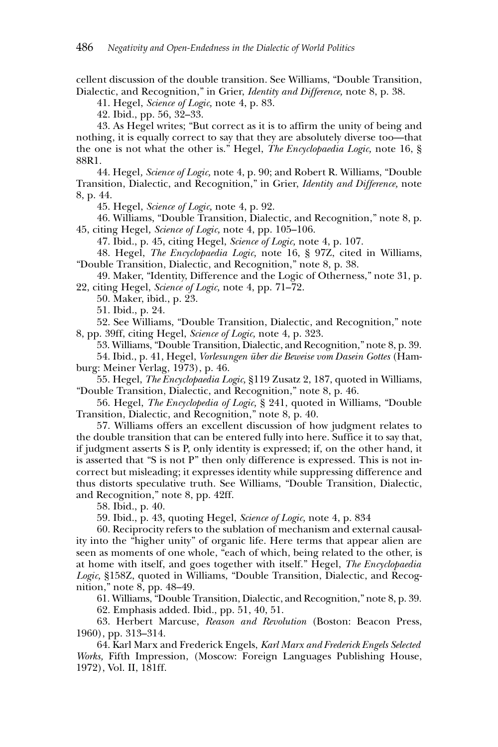cellent discussion of the double transition. See Williams, "Double Transition, Dialectic, and Recognition," in Grier, *Identity and Difference,* note 8, p. 38.

41. Hegel, *Science of Logic,* note 4, p. 83.

42. Ibid., pp. 56, 32–33.

43. As Hegel writes; "But correct as it is to affirm the unity of being and nothing, it is equally correct to say that they are absolutely diverse too—that the one is not what the other is." Hegel, *The Encyclopaedia Logic,* note 16, § 88R1.

44. Hegel*, Science of Logic,* note 4, p. 90; and Robert R. Williams, "Double Transition, Dialectic, and Recognition," in Grier, *Identity and Difference,* note 8, p. 44.

45. Hegel, *Science of Logic,* note 4, p. 92.

46. Williams, "Double Transition, Dialectic, and Recognition," note 8, p. 45, citing Hegel*, Science of Logic,* note 4, pp. 105–106.

47. Ibid., p. 45, citing Hegel, *Science of Logic,* note 4, p. 107.

48. Hegel, *The Encyclopaedia Logic,* note 16, § 97Z, cited in Williams, "Double Transition, Dialectic, and Recognition," note 8, p. 38.

49. Maker, "Identity, Difference and the Logic of Otherness," note 31, p. 22, citing Hegel, *Science of Logic,* note 4, pp. 71–72.

50. Maker, ibid., p. 23.

51. Ibid., p. 24.

52. See Williams, "Double Transition, Dialectic, and Recognition," note 8, pp. 39ff, citing Hegel, *Science of Logic,* note 4, p. 323.

53. Williams, "Double Transition, Dialectic, and Recognition," note 8, p. 39.

54. Ibid., p. 41, Hegel, *Vorlesungen über die Beweise vom Dasein Gottes* (Hamburg: Meiner Verlag, 1973), p. 46.

55. Hegel, *The Encyclopaedia Logic,* §119 Zusatz 2, 187, quoted in Williams, "Double Transition, Dialectic, and Recognition," note 8, p. 46.

56. Hegel, *The Encyclopedia of Logic,* § 241, quoted in Williams, "Double Transition, Dialectic, and Recognition," note 8, p. 40.

57. Williams offers an excellent discussion of how judgment relates to the double transition that can be entered fully into here. Suffice it to say that, if judgment asserts S is P, only identity is expressed; if, on the other hand, it is asserted that "S is not P" then only difference is expressed. This is not incorrect but misleading; it expresses identity while suppressing difference and thus distorts speculative truth. See Williams, "Double Transition, Dialectic, and Recognition," note 8, pp. 42ff.

58. Ibid., p. 40.

59. Ibid., p. 43, quoting Hegel, *Science of Logic,* note 4, p. 834

60. Reciprocity refers to the sublation of mechanism and external causality into the "higher unity" of organic life. Here terms that appear alien are seen as moments of one whole, "each of which, being related to the other, is at home with itself, and goes together with itself." Hegel, *The Encyclopaedia Logic,* §158Z, quoted in Williams, "Double Transition, Dialectic, and Recognition," note 8, pp. 48–49.

61. Williams, "Double Transition, Dialectic, and Recognition," note 8, p. 39.

62. Emphasis added. Ibid., pp. 51, 40, 51.

63. Herbert Marcuse, *Reason and Revolution* (Boston: Beacon Press, 1960), pp. 313–314.

64. Karl Marx and Frederick Engels, *Karl Marx and Frederick Engels Selected Works,* Fifth Impression, (Moscow: Foreign Languages Publishing House, 1972), Vol. II, 181ff.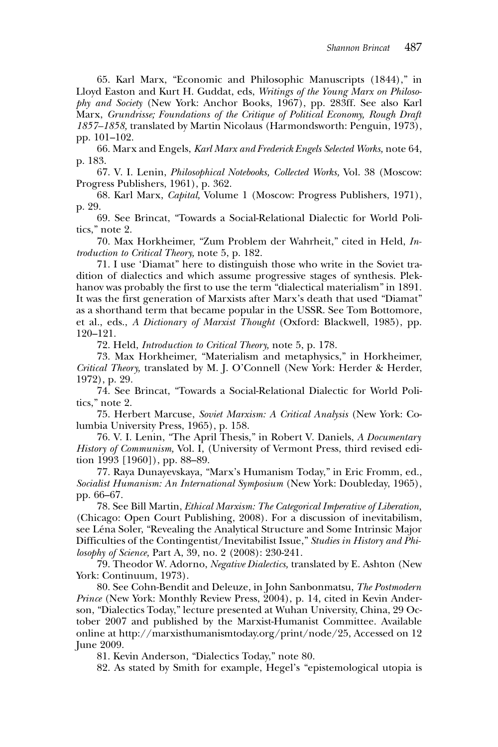65. Karl Marx, "Economic and Philosophic Manuscripts (1844)," in Lloyd Easton and Kurt H. Guddat, eds, *Writings of the Young Marx on Philosophy and Society* (New York: Anchor Books, 1967), pp. 283ff. See also Karl Marx, *Grundrisse; Foundations of the Critique of Political Economy, Rough Draft 1857–1858,* translated by Martin Nicolaus (Harmondsworth: Penguin, 1973), pp. 101–102.

66. Marx and Engels, *Karl Marx and Frederick Engels Selected Works,* note 64, p. 183.

67. V. I. Lenin, *Philosophical Notebooks, Collected Works,* Vol. 38 (Moscow: Progress Publishers, 1961), p. 362.

68. Karl Marx, *Capital,* Volume 1 (Moscow: Progress Publishers, 1971), p. 29.

69. See Brincat, "Towards a Social-Relational Dialectic for World Politics," note 2.

70. Max Horkheimer, "Zum Problem der Wahrheit," cited in Held, *Introduction to Critical Theory,* note 5, p. 182.

71. I use 'Diamat" here to distinguish those who write in the Soviet tradition of dialectics and which assume progressive stages of synthesis. Plekhanov was probably the first to use the term "dialectical materialism" in 1891. It was the first generation of Marxists after Marx's death that used "Diamat" as a shorthand term that became popular in the USSR. See Tom Bottomore, et al., eds., *A Dictionary of Marxist Thought* (Oxford: Blackwell, 1985), pp. 120–121.

72. Held, *Introduction to Critical Theory,* note 5, p. 178.

73. Max Horkheimer, "Materialism and metaphysics," in Horkheimer, *Critical Theory,* translated by M. J. O'Connell (New York: Herder & Herder, 1972), p. 29.

74. See Brincat, "Towards a Social-Relational Dialectic for World Politics," note 2.

75. Herbert Marcuse, *Soviet Marxism: A Critical Analysis* (New York: Columbia University Press, 1965), p. 158.

76. V. I. Lenin, "The April Thesis," in Robert V. Daniels, *A Documentary History of Communism,* Vol. I, (University of Vermont Press, third revised edition 1993 [1960]), pp. 88–89.

77. Raya Dunayevskaya, "Marx's Humanism Today," in Eric Fromm, ed., *Socialist Humanism: An International Symposium* (New York: Doubleday, 1965), pp. 66–67.

78. See Bill Martin, *Ethical Marxism: The Categorical Imperative of Liberation,* (Chicago: Open Court Publishing, 2008). For a discussion of inevitabilism, see Léna Soler, "Revealing the Analytical Structure and Some Intrinsic Major Difficulties of the Contingentist/Inevitabilist Issue," *Studies in History and Philosophy of Science,* Part A, 39, no. 2 (2008): 230-241.

79. Theodor W. Adorno, *Negative Dialectics,* translated by E. Ashton (New York: Continuum, 1973).

80. See Cohn-Bendit and Deleuze, in John Sanbonmatsu, *The Postmodern Prince* (New York: Monthly Review Press, 2004), p. 14, cited in Kevin Anderson, "Dialectics Today," lecture presented at Wuhan University, China, 29 October 2007 and published by the Marxist-Humanist Committee. Available online at http://marxisthumanismtoday.org/print/node/25, Accessed on 12 June 2009.

81. Kevin Anderson, "Dialectics Today," note 80.

82. As stated by Smith for example, Hegel's "epistemological utopia is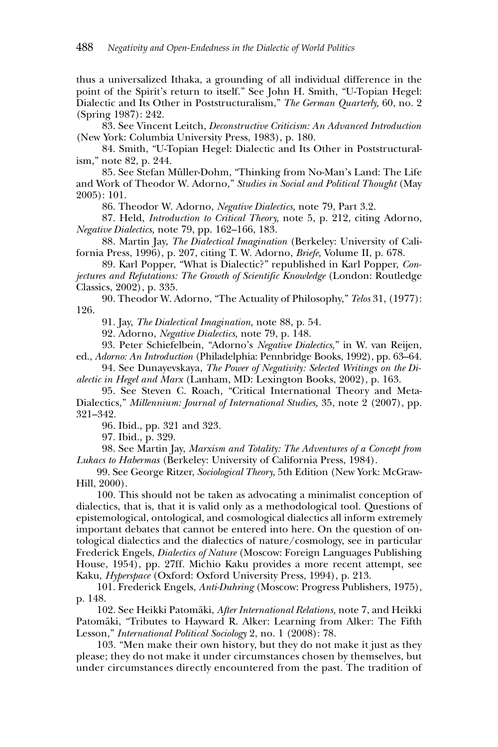thus a universalized Ithaka, a grounding of all individual difference in the point of the Spirit's return to itself." See John H. Smith, "U-Topian Hegel: Dialectic and Its Other in Poststructuralism," *The German Quarterly,* 60, no. 2 (Spring 1987): 242.

83. See Vincent Leitch, *Deconstructive Criticism: An Advanced Introduction* (New York: Columbia University Press, 1983), p. 180.

84. Smith, "U-Topian Hegel: Dialectic and Its Other in Poststructuralism," note 82, p. 244.

85. See Stefan Mûller-Dohm, "Thinking from No-Man's Land: The Life and Work of Theodor W. Adorno," *Studies in Social and Political Thought* (May 2005): 101.

86. Theodor W. Adorno, *Negative Dialectics,* note 79, Part 3.2.

87. Held, *Introduction to Critical Theory,* note 5, p. 212, citing Adorno, *Negative Dialectics,* note 79, pp. 162–166, 183.

88. Martin Jay, *The Dialectical Imagination* (Berkeley: University of California Press, 1996), p. 207, citing T. W. Adorno, *Briefe,* Volume II, p. 678.

89. Karl Popper, "What is Dialectic?" republished in Karl Popper, *Conjectures and Refutations: The Growth of Scientific Knowledge* (London: Routledge Classics, 2002), p. 335.

90. Theodor W. Adorno, "The Actuality of Philosophy," *Telos* 31, (1977): 126.

91. Jay, *The Dialectical Imagination,* note 88, p. 54.

92. Adorno, *Negative Dialectics,* note 79, p. 148.

93. Peter Schiefelbein, "Adorno's *Negative Dialectics,*" in W. van Reijen, ed., *Adorno: An Introduction* (Philadelphia: Pennbridge Books, 1992), pp. 63–64.

94. See Dunayevskaya, *The Power of Negativity: Selected Writings on the Dialectic in Hegel and Marx* (Lanham, MD: Lexington Books, 2002), p. 163.

95. See Steven C. Roach, "Critical International Theory and Meta-Dialectics," *Millennium: Journal of International Studies,* 35, note 2 (2007), pp. 321–342.

96. Ibid., pp. 321 and 323.

97. Ibid., p. 329.

98. See Martin Jay, *Marxism and Totality: The Adventures of a Concept from Lukacs to Habermas* (Berkeley: University of California Press, 1984).

99. See George Ritzer, *Sociological Theory,* 5th Edition (New York: McGraw-Hill, 2000).

100. This should not be taken as advocating a minimalist conception of dialectics, that is, that it is valid only as a methodological tool. Questions of epistemological, ontological, and cosmological dialectics all inform extremely important debates that cannot be entered into here. On the question of ontological dialectics and the dialectics of nature/cosmology, see in particular Frederick Engels, *Dialectics of Nature* (Moscow: Foreign Languages Publishing House, 1954), pp. 27ff. Michio Kaku provides a more recent attempt, see Kaku, *Hyperspace* (Oxford: Oxford University Press, 1994), p. 213.

101. Frederick Engels, *Anti-Duhring* (Moscow: Progress Publishers, 1975), p. 148.

102. See Heikki Patomäki, *After International Relations,* note 7, and Heikki Patomäki, "Tributes to Hayward R. Alker: Learning from Alker: The Fifth Lesson," *International Political Sociology* 2, no. 1 (2008): 78.

103. "Men make their own history, but they do not make it just as they please; they do not make it under circumstances chosen by themselves, but under circumstances directly encountered from the past. The tradition of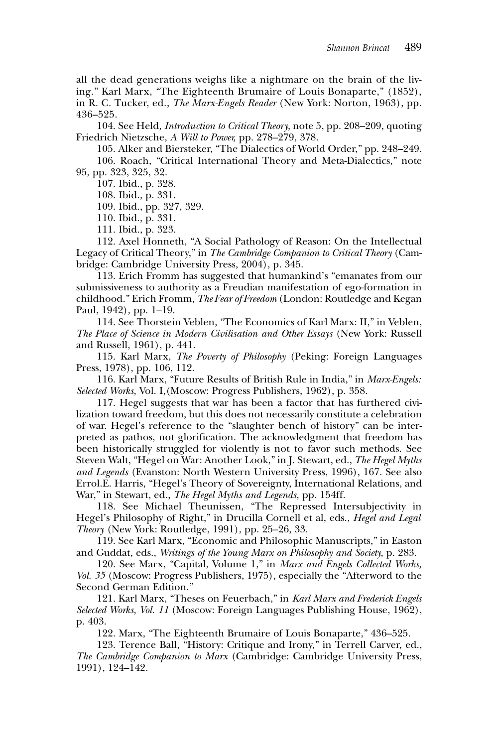all the dead generations weighs like a nightmare on the brain of the living." Karl Marx, "The Eighteenth Brumaire of Louis Bonaparte," (1852), in R. C. Tucker, ed., *The Marx-Engels Reader* (New York: Norton, 1963), pp. 436–525.

104. See Held, *Introduction to Critical Theory,* note 5, pp. 208–209, quoting Friedrich Nietzsche, *A Will to Power,* pp. 278–279, 378.

105. Alker and Biersteker, "The Dialectics of World Order," pp. 248–249. 106. Roach, "Critical International Theory and Meta-Dialectics," note 95, pp. 323, 325, 32.

107. Ibid., p. 328.

108. Ibid., p. 331.

109. Ibid., pp. 327, 329.

110. Ibid., p. 331.

111. Ibid., p. 323.

112. Axel Honneth, "A Social Pathology of Reason: On the Intellectual Legacy of Critical Theory," in *The Cambridge Companion to Critical Theory* (Cambridge: Cambridge University Press, 2004), p. 345.

113. Erich Fromm has suggested that humankind's "emanates from our submissiveness to authority as a Freudian manifestation of ego-formation in childhood." Erich Fromm, *The Fear of Freedom* (London: Routledge and Kegan Paul, 1942), pp. 1–19.

114. See Thorstein Veblen, "The Economics of Karl Marx: II," in Veblen, *The Place of Science in Modern Civilisation and Other Essays* (New York: Russell and Russell, 1961), p. 441.

115. Karl Marx, *The Poverty of Philosophy* (Peking: Foreign Languages Press, 1978), pp. 106, 112.

116. Karl Marx, "Future Results of British Rule in India," in *Marx-Engels: Selected Works,* Vol. I,(Moscow: Progress Publishers, 1962), p. 358.

117. Hegel suggests that war has been a factor that has furthered civilization toward freedom, but this does not necessarily constitute a celebration of war. Hegel's reference to the "slaughter bench of history" can be interpreted as pathos, not glorification. The acknowledgment that freedom has been historically struggled for violently is not to favor such methods. See Steven Walt, "Hegel on War: Another Look," in J. Stewart, ed., *The Hegel Myths and Legends* (Evanston: North Western University Press, 1996), 167. See also Errol.E. Harris, "Hegel's Theory of Sovereignty, International Relations, and War," in Stewart, ed., *The Hegel Myths and Legends,* pp. 154ff.

118. See Michael Theunissen, "The Repressed Intersubjectivity in Hegel's Philosophy of Right," in Drucilla Cornell et al, eds., *Hegel and Legal Theory* (New York: Routledge, 1991), pp. 25–26, 33.

119. See Karl Marx, "Economic and Philosophic Manuscripts," in Easton and Guddat, eds., *Writings of the Young Marx on Philosophy and Society,* p. 283.

120. See Marx, "Capital, Volume 1," in *Marx and Engels Collected Works, Vol. 35* (Moscow: Progress Publishers, 1975), especially the "Afterword to the Second German Edition."

121. Karl Marx, "Theses on Feuerbach," in *Karl Marx and Frederick Engels Selected Works, Vol. 11* (Moscow: Foreign Languages Publishing House, 1962), p. 403.

122. Marx, "The Eighteenth Brumaire of Louis Bonaparte," 436–525.

123. Terence Ball, "History: Critique and Irony," in Terrell Carver, ed., *The Cambridge Companion to Marx* (Cambridge: Cambridge University Press, 1991), 124–142.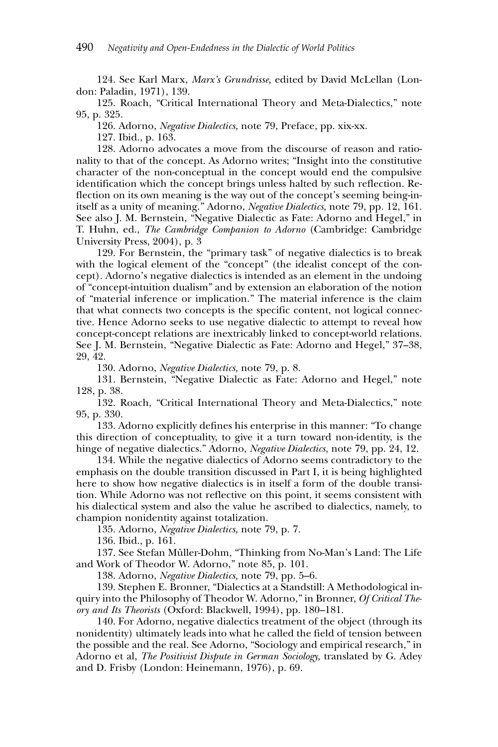124. See Karl Marx, *Marx's Grundrisse,* edited by David McLellan (London: Paladin, 1971), 139.

125. Roach, "Critical International Theory and Meta-Dialectics," note 95, p. 325.

126. Adorno, *Negative Dialectics,* note 79, Preface, pp. xix-xx.

127. Ibid., p. 163.

128. Adorno advocates a move from the discourse of reason and rationality to that of the concept. As Adorno writes; "Insight into the constitutive character of the non-conceptual in the concept would end the compulsive identification which the concept brings unless halted by such reflection. Reflection on its own meaning is the way out of the concept's seeming being-initself as a unity of meaning." Adorno, *Negative Dialectics,* note 79, pp. 12, 161. See also J. M. Bernstein, "Negative Dialectic as Fate: Adorno and Hegel," in T. Huhn, ed., *The Cambridge Companion to Adorno* (Cambridge: Cambridge University Press, 2004), p. 3

129. For Bernstein, the "primary task" of negative dialectics is to break with the logical element of the "concept" (the idealist concept of the concept). Adorno's negative dialectics is intended as an element in the undoing of "concept-intuition dualism" and by extension an elaboration of the notion of "material inference or implication." The material inference is the claim that what connects two concepts is the specific content, not logical connective. Hence Adorno seeks to use negative dialectic to attempt to reveal how concept-concept relations are inextricably linked to concept-world relations. See J. M. Bernstein, "Negative Dialectic as Fate: Adorno and Hegel," 37–38, 29, 42.

130. Adorno, *Negative Dialectics,* note 79, p. 8.

131. Bernstein, "Negative Dialectic as Fate: Adorno and Hegel," note 128, p. 38.

132. Roach, "Critical International Theory and Meta-Dialectics," note 95, p. 330.

133. Adorno explicitly defines his enterprise in this manner: "To change this direction of conceptuality, to give it a turn toward non-identity, is the hinge of negative dialectics." Adorno, *Negative Dialectics,* note 79, pp. 24, 12.

134. While the negative dialectics of Adorno seems contradictory to the emphasis on the double transition discussed in Part I, it is being highlighted here to show how negative dialectics is in itself a form of the double transition. While Adorno was not reflective on this point, it seems consistent with his dialectical system and also the value he ascribed to dialectics, namely, to champion nonidentity against totalization.

135. Adorno, *Negative Dialectics,* note 79, p. 7.

136. Ibid., p. 161.

137. See Stefan Mûller-Dohm, "Thinking from No-Man's Land: The Life and Work of Theodor W. Adorno," note 85, p. 101.

138. Adorno, *Negative Dialectics,* note 79, pp. 5–6.

139. Stephen E. Bronner, "Dialectics at a Standstill: A Methodological inquiry into the Philosophy of Theodor W. Adorno," in Bronner, *Of Critical Theory and Its Theorists* (Oxford: Blackwell, 1994), pp. 180–181.

140. For Adorno, negative dialectics treatment of the object (through its nonidentity) ultimately leads into what he called the field of tension between the possible and the real. See Adorno, "Sociology and empirical research," in Adorno et al, *The Positivist Dispute in German Sociology,* translated by G. Adey and D. Frisby (London: Heinemann, 1976), p. 69.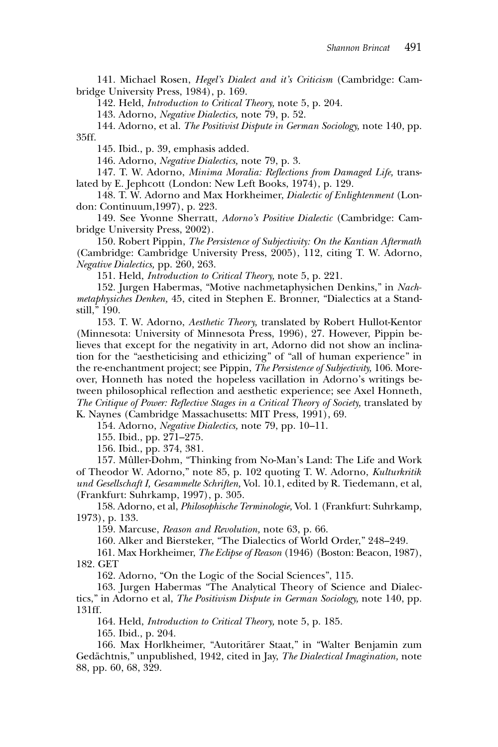141. Michael Rosen, *Hegel's Dialect and it's Criticism* (Cambridge: Cambridge University Press, 1984), p. 169.

142. Held, *Introduction to Critical Theory,* note 5, p. 204.

143. Adorno, *Negative Dialectics,* note 79, p. 52.

144. Adorno, et al. *The Positivist Dispute in German Sociology,* note 140, pp. 35ff.

145. Ibid., p. 39, emphasis added.

146. Adorno, *Negative Dialectics,* note 79, p. 3.

147. T. W. Adorno, *Minima Moralia: Reflections from Damaged Life,* translated by E. Jephcott (London: New Left Books, 1974), p. 129.

148. T. W. Adorno and Max Horkheimer, *Dialectic of Enlightenment* (London: Continuum,1997), p. 223.

149. See Yvonne Sherratt, *Adorno's Positive Dialectic* (Cambridge: Cambridge University Press, 2002).

150. Robert Pippin, *The Persistence of Subjectivity: On the Kantian Aftermath* (Cambridge: Cambridge University Press, 2005), 112, citing T. W. Adorno, *Negative Dialectics,* pp. 260, 263.

151. Held, *Introduction to Critical Theory,* note 5, p. 221.

152. Jurgen Habermas, "Motive nachmetaphysichen Denkins," in *Nachmetaphysiches Denken,* 45, cited in Stephen E. Bronner, "Dialectics at a Standstill," 190.

153. T. W. Adorno, *Aesthetic Theory,* translated by Robert Hullot-Kentor (Minnesota: University of Minnesota Press, 1996), 27. However, Pippin believes that except for the negativity in art, Adorno did not show an inclination for the "aestheticising and ethicizing" of "all of human experience" in the re-enchantment project; see Pippin, *The Persistence of Subjectivity,* 106. Moreover, Honneth has noted the hopeless vacillation in Adorno's writings between philosophical reflection and aesthetic experience; see Axel Honneth, *The Critique of Power: Reflective Stages in a Critical Theory of Society,* translated by K. Naynes (Cambridge Massachusetts: MIT Press, 1991), 69.

154. Adorno, *Negative Dialectics,* note 79, pp. 10–11.

155. Ibid., pp. 271–275.

156. Ibid., pp. 374, 381.

157. Mûller-Dohm, "Thinking from No-Man's Land: The Life and Work of Theodor W. Adorno," note 85, p. 102 quoting T. W. Adorno, *Kulturkritik und Gesellschaft I, Gesammelte Schriften,* Vol. 10.1, edited by R. Tiedemann, et al, (Frankfurt: Suhrkamp, 1997), p. 305.

158. Adorno, et al, *Philosophische Terminologie,* Vol. 1 (Frankfurt: Suhrkamp, 1973), p. 133.

159. Marcuse, *Reason and Revolution,* note 63, p. 66.

160. Alker and Biersteker, "The Dialectics of World Order," 248–249.

161. Max Horkheimer, *The Eclipse of Reason* (1946) (Boston: Beacon, 1987), 182. GET

162. Adorno, "On the Logic of the Social Sciences", 115.

163. Jurgen Habermas "The Analytical Theory of Science and Dialectics," in Adorno et al, *The Positivism Dispute in German Sociology,* note 140, pp. 131ff.

164. Held, *Introduction to Critical Theory,* note 5, p. 185.

165. Ibid., p. 204.

166. Max Horlkheimer, "Autoritärer Staat," in "Walter Benjamin zum Gedächtnis," unpublished, 1942, cited in Jay, *The Dialectical Imagination,* note 88, pp. 60, 68, 329.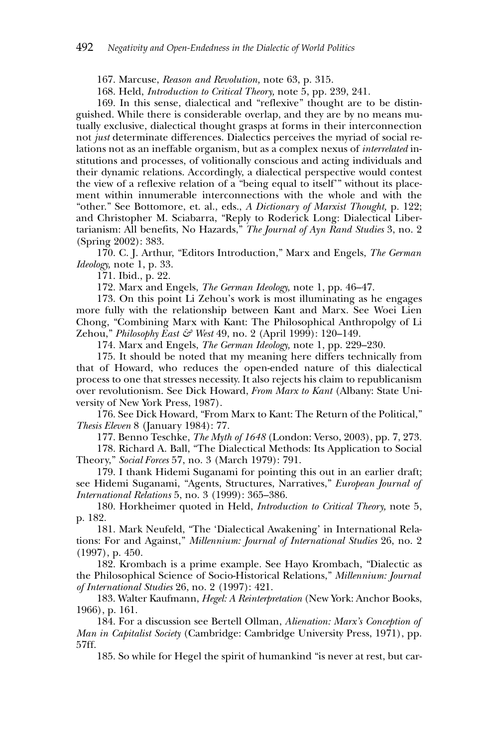167. Marcuse, *Reason and Revolution,* note 63, p. 315.

168. Held, *Introduction to Critical Theory,* note 5, pp. 239, 241.

169. In this sense, dialectical and "reflexive" thought are to be distinguished. While there is considerable overlap, and they are by no means mutually exclusive, dialectical thought grasps at forms in their interconnection not *just* determinate differences. Dialectics perceives the myriad of social relations not as an ineffable organism, but as a complex nexus of *interrelated* institutions and processes, of volitionally conscious and acting individuals and their dynamic relations. Accordingly, a dialectical perspective would contest the view of a reflexive relation of a "being equal to itself'" without its placement within innumerable interconnections with the whole and with the "other." See Bottomore, et. al., eds., *A Dictionary of Marxist Thought,* p. 122; and Christopher M. Sciabarra, "Reply to Roderick Long: Dialectical Libertarianism: All benefits, No Hazards," *The Journal of Ayn Rand Studies* 3, no. 2 (Spring 2002): 383.

170. C. J. Arthur, "Editors Introduction," Marx and Engels, *The German Ideology,* note 1, p. 33.

171. Ibid., p. 22.

172. Marx and Engels, *The German Ideology,* note 1, pp. 46–47.

173. On this point Li Zehou's work is most illuminating as he engages more fully with the relationship between Kant and Marx. See Woei Lien Chong, "Combining Marx with Kant: The Philosophical Anthropolgy of Li Zehou," *Philosophy East & West* 49, no. 2 (April 1999): 120–149.

174. Marx and Engels, *The German Ideology,* note 1, pp. 229–230.

175. It should be noted that my meaning here differs technically from that of Howard, who reduces the open-ended nature of this dialectical process to one that stresses necessity. It also rejects his claim to republicanism over revolutionism. See Dick Howard, *From Marx to Kant* (Albany: State University of New York Press, 1987).

176. See Dick Howard, "From Marx to Kant: The Return of the Political," *Thesis Eleven* 8 (January 1984): 77.

177. Benno Teschke, *The Myth of 1648* (London: Verso, 2003), pp. 7, 273.

178. Richard A. Ball, "The Dialectical Methods: Its Application to Social Theory," *Social Forces* 57, no. 3 (March 1979): 791.

179. I thank Hidemi Suganami for pointing this out in an earlier draft; see Hidemi Suganami, "Agents, Structures, Narratives," *European Journal of International Relations* 5, no. 3 (1999): 365–386.

180. Horkheimer quoted in Held, *Introduction to Critical Theory,* note 5, p. 182.

181. Mark Neufeld, "The 'Dialectical Awakening' in International Relations: For and Against," *Millennium: Journal of International Studies* 26, no. 2 (1997), p. 450.

182. Krombach is a prime example. See Hayo Krombach, "Dialectic as the Philosophical Science of Socio-Historical Relations," *Millennium: Journal of International Studies* 26, no. 2 (1997): 421.

183. Walter Kaufmann, *Hegel: A Reinterpretation* (New York: Anchor Books, 1966), p. 161.

184. For a discussion see Bertell Ollman, *Alienation: Marx's Conception of Man in Capitalist Society* (Cambridge: Cambridge University Press, 1971), pp. 57ff.

185. So while for Hegel the spirit of humankind "is never at rest, but car-